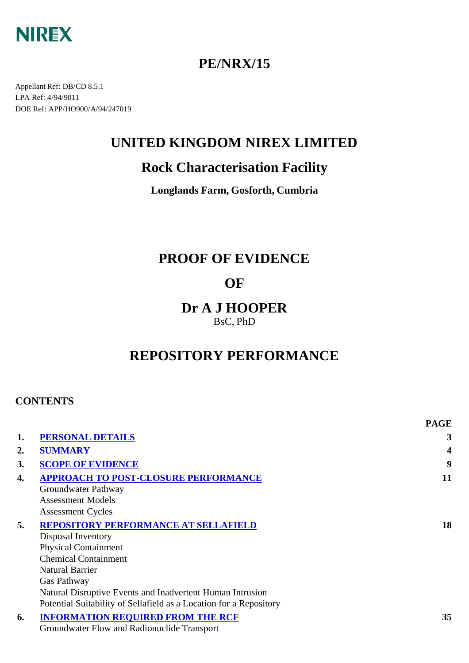

## **PE/NRX/15**

Appellant Ref: DB/CD 8.5.1 LPA Ref: 4/94/9011 DOE Ref: APP/HO900/A/94/247019

## **UNITED KINGDOM NIREX LIMITED**

## **Rock Characterisation Facility**

**Longlands Farm, Gosforth, Cumbria**

## **PROOF OF EVIDENCE**

## **OF**

## **Dr A J HOOPER** BsC, PhD

# **REPOSITORY PERFORMANCE**

## **CONTENTS**

|                |                                                                    | <b>PAGE</b> |
|----------------|--------------------------------------------------------------------|-------------|
| 1.             | <b>PERSONAL DETAILS</b>                                            | 3           |
| $\mathbf{2}$ . | <b>SUMMARY</b>                                                     | 4           |
| 3.             | <b>SCOPE OF EVIDENCE</b>                                           | 9           |
| 4.             | <b>APPROACH TO POST-CLOSURE PERFORMANCE</b>                        | 11          |
|                | Groundwater Pathway                                                |             |
|                | <b>Assessment Models</b>                                           |             |
|                | <b>Assessment Cycles</b>                                           |             |
| 5.             | <b>REPOSITORY PERFORMANCE AT SELLAFIELD</b>                        | 18          |
|                | Disposal Inventory                                                 |             |
|                | <b>Physical Containment</b>                                        |             |
|                | <b>Chemical Containment</b>                                        |             |
|                | <b>Natural Barrier</b>                                             |             |
|                | Gas Pathway                                                        |             |
|                | Natural Disruptive Events and Inadvertent Human Intrusion          |             |
|                | Potential Suitability of Sellafield as a Location for a Repository |             |
| 6.             | <b>INFORMATION REQUIRED FROM THE RCF</b>                           | 35          |
|                | Groundwater Flow and Radionuclide Transport                        |             |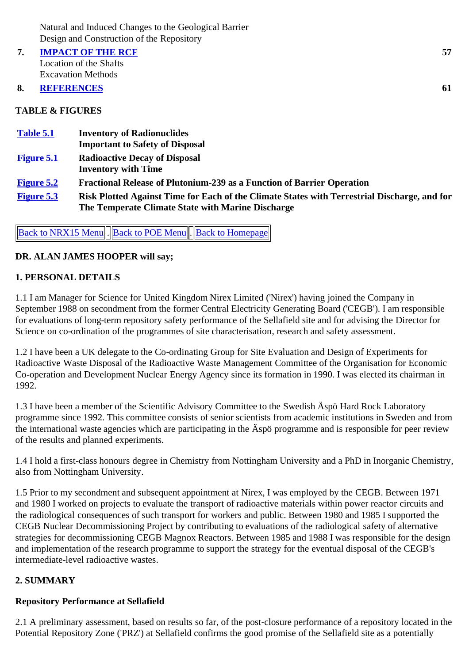**7. IMPACT OF THE RCF** Location of the Shafts Excavation Methods

#### **8. REFERENCES 61**

#### **TABLE & FIGURES**

| Table 5.1         | <b>Inventory of Radionuclides</b>                                                                                                                 |
|-------------------|---------------------------------------------------------------------------------------------------------------------------------------------------|
|                   | <b>Important to Safety of Disposal</b>                                                                                                            |
| <b>Figure 5.1</b> | <b>Radioactive Decay of Disposal</b>                                                                                                              |
|                   | <b>Inventory with Time</b>                                                                                                                        |
| <b>Figure 5.2</b> | <b>Fractional Release of Plutonium-239 as a Function of Barrier Operation</b>                                                                     |
| <b>Figure 5.3</b> | Risk Plotted Against Time for Each of the Climate States with Terrestrial Discharge, and for<br>The Temperate Climate State with Marine Discharge |

Back to NRX15 Menu. Back to POE Menu. Back to Homepage

#### **DR. ALAN JAMES HOOPER will say;**

#### **1. PERSONAL DETAILS**

1.1 I am Manager for Science for United Kingdom Nirex Limited ('Nirex') having joined the Company in September 1988 on secondment from the former Central Electricity Generating Board ('CEGB'). I am responsible for evaluations of long-term repository safety performance of the Sellafield site and for advising the Director for Science on co-ordination of the programmes of site characterisation, research and safety assessment.

1.2 I have been a UK delegate to the Co-ordinating Group for Site Evaluation and Design of Experiments for Radioactive Waste Disposal of the Radioactive Waste Management Committee of the Organisation for Economic Co-operation and Development Nuclear Energy Agency since its formation in 1990. I was elected its chairman in 1992.

1.3 I have been a member of the Scientific Advisory Committee to the Swedish Äspö Hard Rock Laboratory programme since 1992. This committee consists of senior scientists from academic institutions in Sweden and from the international waste agencies which are participating in the Äspö programme and is responsible for peer review of the results and planned experiments.

1.4 I hold a first-class honours degree in Chemistry from Nottingham University and a PhD in Inorganic Chemistry, also from Nottingham University.

1.5 Prior to my secondment and subsequent appointment at Nirex, I was employed by the CEGB. Between 1971 and 1980 I worked on projects to evaluate the transport of radioactive materials within power reactor circuits and the radiological consequences of such transport for workers and public. Between 1980 and 1985 I supported the CEGB Nuclear Decommissioning Project by contributing to evaluations of the radiological safety of alternative strategies for decommissioning CEGB Magnox Reactors. Between 1985 and 1988 I was responsible for the design and implementation of the research programme to support the strategy for the eventual disposal of the CEGB's intermediate-level radioactive wastes.

## **2. SUMMARY**

## **Repository Performance at Sellafield**

2.1 A preliminary assessment, based on results so far, of the post-closure performance of a repository located in the Potential Repository Zone ('PRZ') at Sellafield confirms the good promise of the Sellafield site as a potentially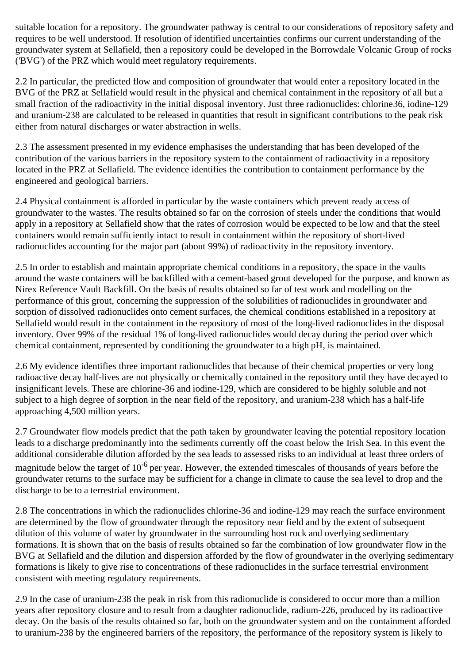suitable location for a repository. The groundwater pathway is central to our considerations of repository safety and requires to be well understood. If resolution of identified uncertainties confirms our current understanding of the groundwater system at Sellafield, then a repository could be developed in the Borrowdale Volcanic Group of rocks ('BVG') of the PRZ which would meet regulatory requirements.

2.2 In particular, the predicted flow and composition of groundwater that would enter a repository located in the BVG of the PRZ at Sellafield would result in the physical and chemical containment in the repository of all but a small fraction of the radioactivity in the initial disposal inventory. Just three radionuclides: chlorine36, iodine-129 and uranium-238 are calculated to be released in quantities that result in significant contributions to the peak risk either from natural discharges or water abstraction in wells.

2.3 The assessment presented in my evidence emphasises the understanding that has been developed of the contribution of the various barriers in the repository system to the containment of radioactivity in a repository located in the PRZ at Sellafield. The evidence identifies the contribution to containment performance by the engineered and geological barriers.

2.4 Physical containment is afforded in particular by the waste containers which prevent ready access of groundwater to the wastes. The results obtained so far on the corrosion of steels under the conditions that would apply in a repository at Sellafield show that the rates of corrosion would be expected to be low and that the steel containers would remain sufficiently intact to result in containment within the repository of short-lived radionuclides accounting for the major part (about 99%) of radioactivity in the repository inventory.

2.5 In order to establish and maintain appropriate chemical conditions in a repository, the space in the vaults around the waste containers will be backfilled with a cement-based grout developed for the purpose, and known as Nirex Reference Vault Backfill. On the basis of results obtained so far of test work and modelling on the performance of this grout, concerning the suppression of the solubilities of radionuclides in groundwater and sorption of dissolved radionuclides onto cement surfaces, the chemical conditions established in a repository at Sellafield would result in the containment in the repository of most of the long-lived radionuclides in the disposal inventory. Over 99% of the residual 1% of long-lived radionuclides would decay during the period over which chemical containment, represented by conditioning the groundwater to a high pH, is maintained.

2.6 My evidence identifies three important radionuclides that because of their chemical properties or very long radioactive decay half-lives are not physically or chemically contained in the repository until they have decayed to insignificant levels. These are chlorine-36 and iodine-129, which are considered to be highly soluble and not subject to a high degree of sorption in the near field of the repository, and uranium-238 which has a half-life approaching 4,500 million years.

2.7 Groundwater flow models predict that the path taken by groundwater leaving the potential repository location leads to a discharge predominantly into the sediments currently off the coast below the Irish Sea. In this event the additional considerable dilution afforded by the sea leads to assessed risks to an individual at least three orders of magnitude below the target of  $10^{-6}$  per year. However, the extended timescales of thousands of years before the groundwater returns to the surface may be sufficient for a change in climate to cause the sea level to drop and the discharge to be to a terrestrial environment.

2.8 The concentrations in which the radionuclides chlorine-36 and iodine-129 may reach the surface environment are determined by the flow of groundwater through the repository near field and by the extent of subsequent dilution of this volume of water by groundwater in the surrounding host rock and overlying sedimentary formations. It is shown that on the basis of results obtained so far the combination of low groundwater flow in the BVG at Sellafield and the dilution and dispersion afforded by the flow of groundwater in the overlying sedimentary formations is likely to give rise to concentrations of these radionuclides in the surface terrestrial environment consistent with meeting regulatory requirements.

2.9 In the case of uranium-238 the peak in risk from this radionuclide is considered to occur more than a million years after repository closure and to result from a daughter radionuclide, radium-226, produced by its radioactive decay. On the basis of the results obtained so far, both on the groundwater system and on the containment afforded to uranium-238 by the engineered barriers of the repository, the performance of the repository system is likely to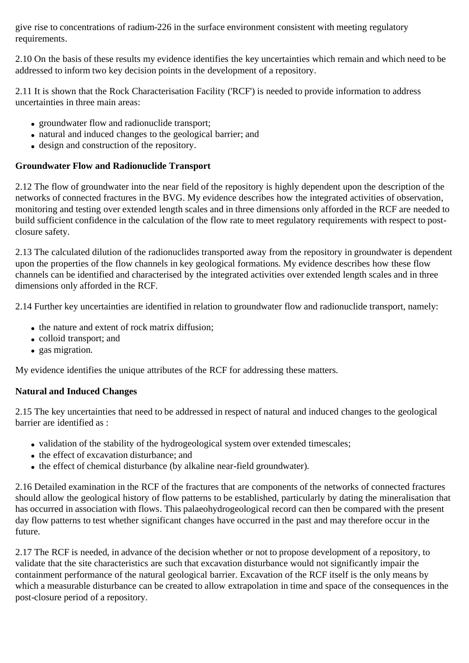give rise to concentrations of radium-226 in the surface environment consistent with meeting regulatory requirements.

2.10 On the basis of these results my evidence identifies the key uncertainties which remain and which need to be addressed to inform two key decision points in the development of a repository.

2.11 It is shown that the Rock Characterisation Facility ('RCF') is needed to provide information to address uncertainties in three main areas:

- groundwater flow and radionuclide transport;
- natural and induced changes to the geological barrier; and
- design and construction of the repository.

#### **Groundwater Flow and Radionuclide Transport**

2.12 The flow of groundwater into the near field of the repository is highly dependent upon the description of the networks of connected fractures in the BVG. My evidence describes how the integrated activities of observation, monitoring and testing over extended length scales and in three dimensions only afforded in the RCF are needed to build sufficient confidence in the calculation of the flow rate to meet regulatory requirements with respect to postclosure safety.

2.13 The calculated dilution of the radionuclides transported away from the repository in groundwater is dependent upon the properties of the flow channels in key geological formations. My evidence describes how these flow channels can be identified and characterised by the integrated activities over extended length scales and in three dimensions only afforded in the RCF.

2.14 Further key uncertainties are identified in relation to groundwater flow and radionuclide transport, namely:

- the nature and extent of rock matrix diffusion;
- colloid transport; and
- gas migration.

My evidence identifies the unique attributes of the RCF for addressing these matters.

## **Natural and Induced Changes**

2.15 The key uncertainties that need to be addressed in respect of natural and induced changes to the geological barrier are identified as :

- validation of the stability of the hydrogeological system over extended timescales;
- the effect of excavation disturbance; and
- the effect of chemical disturbance (by alkaline near-field groundwater).

2.16 Detailed examination in the RCF of the fractures that are components of the networks of connected fractures should allow the geological history of flow patterns to be established, particularly by dating the mineralisation that has occurred in association with flows. This palaeohydrogeological record can then be compared with the present day flow patterns to test whether significant changes have occurred in the past and may therefore occur in the future.

2.17 The RCF is needed, in advance of the decision whether or not to propose development of a repository, to validate that the site characteristics are such that excavation disturbance would not significantly impair the containment performance of the natural geological barrier. Excavation of the RCF itself is the only means by which a measurable disturbance can be created to allow extrapolation in time and space of the consequences in the post-closure period of a repository.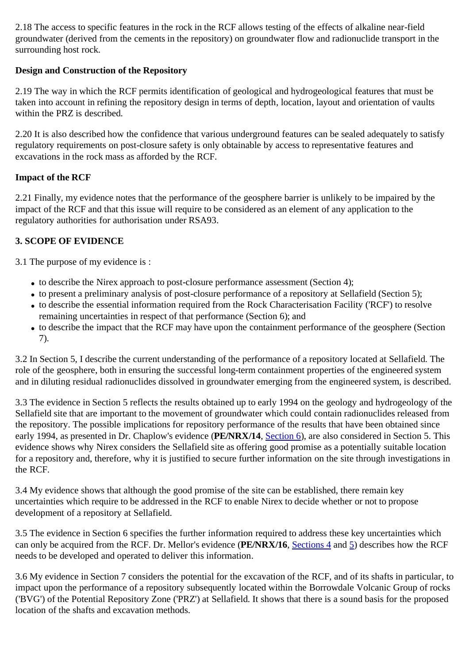2.18 The access to specific features in the rock in the RCF allows testing of the effects of alkaline near-field groundwater (derived from the cements in the repository) on groundwater flow and radionuclide transport in the surrounding host rock.

## **Design and Construction of the Repository**

2.19 The way in which the RCF permits identification of geological and hydrogeological features that must be taken into account in refining the repository design in terms of depth, location, layout and orientation of vaults within the PRZ is described.

2.20 It is also described how the confidence that various underground features can be sealed adequately to satisfy regulatory requirements on post-closure safety is only obtainable by access to representative features and excavations in the rock mass as afforded by the RCF.

## **Impact of the RCF**

2.21 Finally, my evidence notes that the performance of the geosphere barrier is unlikely to be impaired by the impact of the RCF and that this issue will require to be considered as an element of any application to the regulatory authorities for authorisation under RSA93.

## **3. SCOPE OF EVIDENCE**

3.1 The purpose of my evidence is :

- to describe the Nirex approach to post-closure performance assessment (Section 4);
- to present a preliminary analysis of post-closure performance of a repository at Sellafield (Section 5);
- to describe the essential information required from the Rock Characterisation Facility ('RCF') to resolve remaining uncertainties in respect of that performance (Section 6); and
- to describe the impact that the RCF may have upon the containment performance of the geosphere (Section 7).

3.2 In Section 5, I describe the current understanding of the performance of a repository located at Sellafield. The role of the geosphere, both in ensuring the successful long-term containment properties of the engineered system and in diluting residual radionuclides dissolved in groundwater emerging from the engineered system, is described.

3.3 The evidence in Section 5 reflects the results obtained up to early 1994 on the geology and hydrogeology of the Sellafield site that are important to the movement of groundwater which could contain radionuclides released from the repository. The possible implications for repository performance of the results that have been obtained since early 1994, as presented in Dr. Chaplow's evidence (**PE/NRX/14**, Section 6), are also considered in Section 5. This evidence shows why Nirex considers the Sellafield site as offering good promise as a potentially suitable location for a repository and, therefore, why it is justified to secure further information on the site through investigations in the RCF.

3.4 My evidence shows that although the good promise of the site can be established, there remain key uncertainties which require to be addressed in the RCF to enable Nirex to decide whether or not to propose development of a repository at Sellafield.

3.5 The evidence in Section 6 specifies the further information required to address these key uncertainties which can only be acquired from the RCF. Dr. Mellor's evidence (**PE/NRX/16**, Sections 4 and 5) describes how the RCF needs to be developed and operated to deliver this information.

3.6 My evidence in Section 7 considers the potential for the excavation of the RCF, and of its shafts in particular, to impact upon the performance of a repository subsequently located within the Borrowdale Volcanic Group of rocks ('BVG') of the Potential Repository Zone ('PRZ') at Sellafield. It shows that there is a sound basis for the proposed location of the shafts and excavation methods.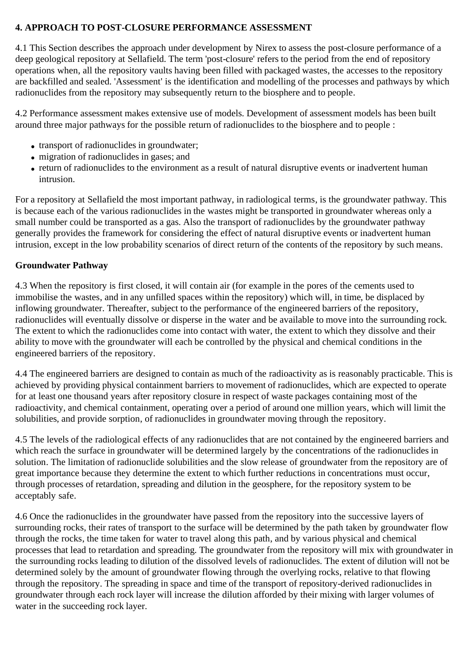#### **4. APPROACH TO POST-CLOSURE PERFORMANCE ASSESSMENT**

4.1 This Section describes the approach under development by Nirex to assess the post-closure performance of a deep geological repository at Sellafield. The term 'post-closure' refers to the period from the end of repository operations when, all the repository vaults having been filled with packaged wastes, the accesses to the repository are backfilled and sealed. 'Assessment' is the identification and modelling of the processes and pathways by which radionuclides from the repository may subsequently return to the biosphere and to people.

4.2 Performance assessment makes extensive use of models. Development of assessment models has been built around three major pathways for the possible return of radionuclides to the biosphere and to people :

- transport of radionuclides in groundwater;
- migration of radionuclides in gases; and
- return of radionuclides to the environment as a result of natural disruptive events or inadvertent human intrusion.

For a repository at Sellafield the most important pathway, in radiological terms, is the groundwater pathway. This is because each of the various radionuclides in the wastes might be transported in groundwater whereas only a small number could be transported as a gas. Also the transport of radionuclides by the groundwater pathway generally provides the framework for considering the effect of natural disruptive events or inadvertent human intrusion, except in the low probability scenarios of direct return of the contents of the repository by such means.

#### **Groundwater Pathway**

4.3 When the repository is first closed, it will contain air (for example in the pores of the cements used to immobilise the wastes, and in any unfilled spaces within the repository) which will, in time, be displaced by inflowing groundwater. Thereafter, subject to the performance of the engineered barriers of the repository, radionuclides will eventually dissolve or disperse in the water and be available to move into the surrounding rock. The extent to which the radionuclides come into contact with water, the extent to which they dissolve and their ability to move with the groundwater will each be controlled by the physical and chemical conditions in the engineered barriers of the repository.

4.4 The engineered barriers are designed to contain as much of the radioactivity as is reasonably practicable. This is achieved by providing physical containment barriers to movement of radionuclides, which are expected to operate for at least one thousand years after repository closure in respect of waste packages containing most of the radioactivity, and chemical containment, operating over a period of around one million years, which will limit the solubilities, and provide sorption, of radionuclides in groundwater moving through the repository.

4.5 The levels of the radiological effects of any radionuclides that are not contained by the engineered barriers and which reach the surface in groundwater will be determined largely by the concentrations of the radionuclides in solution. The limitation of radionuclide solubilities and the slow release of groundwater from the repository are of great importance because they determine the extent to which further reductions in concentrations must occur, through processes of retardation, spreading and dilution in the geosphere, for the repository system to be acceptably safe.

4.6 Once the radionuclides in the groundwater have passed from the repository into the successive layers of surrounding rocks, their rates of transport to the surface will be determined by the path taken by groundwater flow through the rocks, the time taken for water to travel along this path, and by various physical and chemical processes that lead to retardation and spreading. The groundwater from the repository will mix with groundwater in the surrounding rocks leading to dilution of the dissolved levels of radionuclides. The extent of dilution will not be determined solely by the amount of groundwater flowing through the overlying rocks, relative to that flowing through the repository. The spreading in space and time of the transport of repository-derived radionuclides in groundwater through each rock layer will increase the dilution afforded by their mixing with larger volumes of water in the succeeding rock layer.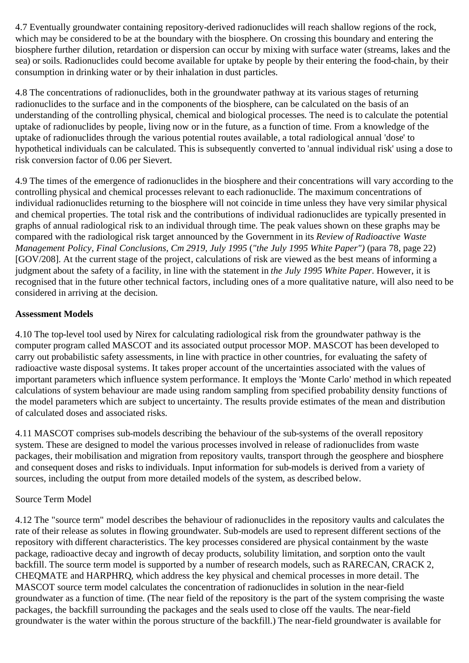4.7 Eventually groundwater containing repository-derived radionuclides will reach shallow regions of the rock, which may be considered to be at the boundary with the biosphere. On crossing this boundary and entering the biosphere further dilution, retardation or dispersion can occur by mixing with surface water (streams, lakes and the sea) or soils. Radionuclides could become available for uptake by people by their entering the food-chain, by their consumption in drinking water or by their inhalation in dust particles.

4.8 The concentrations of radionuclides, both in the groundwater pathway at its various stages of returning radionuclides to the surface and in the components of the biosphere, can be calculated on the basis of an understanding of the controlling physical, chemical and biological processes. The need is to calculate the potential uptake of radionuclides by people, living now or in the future, as a function of time. From a knowledge of the uptake of radionuclides through the various potential routes available, a total radiological annual 'dose' to hypothetical individuals can be calculated. This is subsequently converted to 'annual individual risk' using a dose to risk conversion factor of 0.06 per Sievert.

4.9 The times of the emergence of radionuclides in the biosphere and their concentrations will vary according to the controlling physical and chemical processes relevant to each radionuclide. The maximum concentrations of individual radionuclides returning to the biosphere will not coincide in time unless they have very similar physical and chemical properties. The total risk and the contributions of individual radionuclides are typically presented in graphs of annual radiological risk to an individual through time. The peak values shown on these graphs may be compared with the radiological risk target announced by the Government in its *Review of Radioactive Waste Management Policy, Final Conclusions, Cm 2919, July 1995* (*"the July 1995 White Paper")* (para 78, page 22) [GOV/208]. At the current stage of the project, calculations of risk are viewed as the best means of informing a judgment about the safety of a facility, in line with the statement in *the July 1995 White Paper*. However, it is recognised that in the future other technical factors, including ones of a more qualitative nature, will also need to be considered in arriving at the decision.

#### **Assessment Models**

4.10 The top-level tool used by Nirex for calculating radiological risk from the groundwater pathway is the computer program called MASCOT and its associated output processor MOP. MASCOT has been developed to carry out probabilistic safety assessments, in line with practice in other countries, for evaluating the safety of radioactive waste disposal systems. It takes proper account of the uncertainties associated with the values of important parameters which influence system performance. It employs the 'Monte Carlo' method in which repeated calculations of system behaviour are made using random sampling from specified probability density functions of the model parameters which are subject to uncertainty. The results provide estimates of the mean and distribution of calculated doses and associated risks.

4.11 MASCOT comprises sub-models describing the behaviour of the sub-systems of the overall repository system. These are designed to model the various processes involved in release of radionuclides from waste packages, their mobilisation and migration from repository vaults, transport through the geosphere and biosphere and consequent doses and risks to individuals. Input information for sub-models is derived from a variety of sources, including the output from more detailed models of the system, as described below.

#### Source Term Model

4.12 The "source term" model describes the behaviour of radionuclides in the repository vaults and calculates the rate of their release as solutes in flowing groundwater. Sub-models are used to represent different sections of the repository with different characteristics. The key processes considered are physical containment by the waste package, radioactive decay and ingrowth of decay products, solubility limitation, and sorption onto the vault backfill. The source term model is supported by a number of research models, such as RARECAN, CRACK 2, CHEQMATE and HARPHRQ, which address the key physical and chemical processes in more detail. The MASCOT source term model calculates the concentration of radionuclides in solution in the near-field groundwater as a function of time. (The near field of the repository is the part of the system comprising the waste packages, the backfill surrounding the packages and the seals used to close off the vaults. The near-field groundwater is the water within the porous structure of the backfill.) The near-field groundwater is available for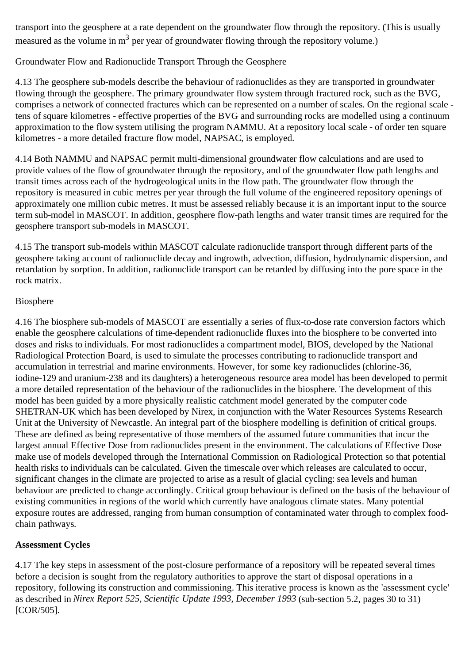transport into the geosphere at a rate dependent on the groundwater flow through the repository. (This is usually measured as the volume in  $m<sup>3</sup>$  per year of groundwater flowing through the repository volume.)

## Groundwater Flow and Radionuclide Transport Through the Geosphere

4.13 The geosphere sub-models describe the behaviour of radionuclides as they are transported in groundwater flowing through the geosphere. The primary groundwater flow system through fractured rock, such as the BVG, comprises a network of connected fractures which can be represented on a number of scales. On the regional scale tens of square kilometres - effective properties of the BVG and surrounding rocks are modelled using a continuum approximation to the flow system utilising the program NAMMU. At a repository local scale - of order ten square kilometres - a more detailed fracture flow model, NAPSAC, is employed.

4.14 Both NAMMU and NAPSAC permit multi-dimensional groundwater flow calculations and are used to provide values of the flow of groundwater through the repository, and of the groundwater flow path lengths and transit times across each of the hydrogeological units in the flow path. The groundwater flow through the repository is measured in cubic metres per year through the full volume of the engineered repository openings of approximately one million cubic metres. It must be assessed reliably because it is an important input to the source term sub-model in MASCOT. In addition, geosphere flow-path lengths and water transit times are required for the geosphere transport sub-models in MASCOT.

4.15 The transport sub-models within MASCOT calculate radionuclide transport through different parts of the geosphere taking account of radionuclide decay and ingrowth, advection, diffusion, hydrodynamic dispersion, and retardation by sorption. In addition, radionuclide transport can be retarded by diffusing into the pore space in the rock matrix.

#### Biosphere

4.16 The biosphere sub-models of MASCOT are essentially a series of flux-to-dose rate conversion factors which enable the geosphere calculations of time-dependent radionuclide fluxes into the biosphere to be converted into doses and risks to individuals. For most radionuclides a compartment model, BIOS, developed by the National Radiological Protection Board, is used to simulate the processes contributing to radionuclide transport and accumulation in terrestrial and marine environments. However, for some key radionuclides (chlorine-36, iodine-129 and uranium-238 and its daughters) a heterogeneous resource area model has been developed to permit a more detailed representation of the behaviour of the radionuclides in the biosphere. The development of this model has been guided by a more physically realistic catchment model generated by the computer code SHETRAN-UK which has been developed by Nirex, in conjunction with the Water Resources Systems Research Unit at the University of Newcastle. An integral part of the biosphere modelling is definition of critical groups. These are defined as being representative of those members of the assumed future communities that incur the largest annual Effective Dose from radionuclides present in the environment. The calculations of Effective Dose make use of models developed through the International Commission on Radiological Protection so that potential health risks to individuals can be calculated. Given the timescale over which releases are calculated to occur, significant changes in the climate are projected to arise as a result of glacial cycling: sea levels and human behaviour are predicted to change accordingly. Critical group behaviour is defined on the basis of the behaviour of existing communities in regions of the world which currently have analogous climate states. Many potential exposure routes are addressed, ranging from human consumption of contaminated water through to complex foodchain pathways.

## **Assessment Cycles**

4.17 The key steps in assessment of the post-closure performance of a repository will be repeated several times before a decision is sought from the regulatory authorities to approve the start of disposal operations in a repository, following its construction and commissioning. This iterative process is known as the 'assessment cycle' as described in *Nirex Report 525, Scientific Update 1993, December 1993* (sub-section 5.2, pages 30 to 31) [COR/505].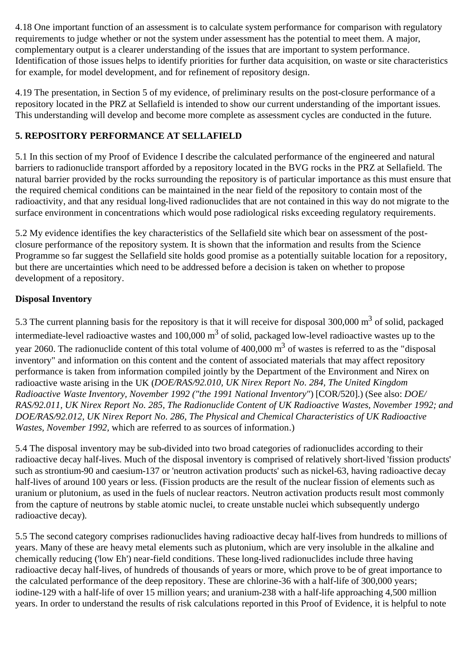4.18 One important function of an assessment is to calculate system performance for comparison with regulatory requirements to judge whether or not the system under assessment has the potential to meet them. A major, complementary output is a clearer understanding of the issues that are important to system performance. Identification of those issues helps to identify priorities for further data acquisition, on waste or site characteristics for example, for model development, and for refinement of repository design.

4.19 The presentation, in Section 5 of my evidence, of preliminary results on the post-closure performance of a repository located in the PRZ at Sellafield is intended to show our current understanding of the important issues. This understanding will develop and become more complete as assessment cycles are conducted in the future.

## **5. REPOSITORY PERFORMANCE AT SELLAFIELD**

5.1 In this section of my Proof of Evidence I describe the calculated performance of the engineered and natural barriers to radionuclide transport afforded by a repository located in the BVG rocks in the PRZ at Sellafield. The natural barrier provided by the rocks surrounding the repository is of particular importance as this must ensure that the required chemical conditions can be maintained in the near field of the repository to contain most of the radioactivity, and that any residual long-lived radionuclides that are not contained in this way do not migrate to the surface environment in concentrations which would pose radiological risks exceeding regulatory requirements.

5.2 My evidence identifies the key characteristics of the Sellafield site which bear on assessment of the postclosure performance of the repository system. It is shown that the information and results from the Science Programme so far suggest the Sellafield site holds good promise as a potentially suitable location for a repository, but there are uncertainties which need to be addressed before a decision is taken on whether to propose development of a repository.

## **Disposal Inventory**

5.3 The current planning basis for the repository is that it will receive for disposal 300,000 m<sup>3</sup> of solid, packaged intermediate-level radioactive wastes and 100,000 m3 of solid, packaged low-level radioactive wastes up to the year 2060. The radionuclide content of this total volume of 400,000 m<sup>3</sup> of wastes is referred to as the "disposal inventory" and information on this content and the content of associated materials that may affect repository performance is taken from information compiled jointly by the Department of the Environment and Nirex on radioactive waste arising in the UK (*DOE/RAS/92.010, UK Nirex Report No. 284, The United Kingdom Radioactive Waste Inventory, November 1992 ("the 1991 National Inventory"*) [COR/520].) (See also: *DOE/ RAS/92.011, UK Nirex Report No. 285, The Radionuclide Content of UK Radioactive Wastes, November 1992; and DOE/RAS/92.012, UK Nirex Report No. 286, The Physical and Chemical Characteristics of UK Radioactive Wastes, November 1992,* which are referred to as sources of information.)

5.4 The disposal inventory may be sub-divided into two broad categories of radionuclides according to their radioactive decay half-lives. Much of the disposal inventory is comprised of relatively short-lived 'fission products' such as strontium-90 and caesium-137 or 'neutron activation products' such as nickel-63, having radioactive decay half-lives of around 100 years or less. (Fission products are the result of the nuclear fission of elements such as uranium or plutonium, as used in the fuels of nuclear reactors. Neutron activation products result most commonly from the capture of neutrons by stable atomic nuclei, to create unstable nuclei which subsequently undergo radioactive decay).

5.5 The second category comprises radionuclides having radioactive decay half-lives from hundreds to millions of years. Many of these are heavy metal elements such as plutonium, which are very insoluble in the alkaline and chemically reducing ('low Eh') near-field conditions. These long-lived radionuclides include three having radioactive decay half-lives, of hundreds of thousands of years or more, which prove to be of great importance to the calculated performance of the deep repository. These are chlorine-36 with a half-life of 300,000 years; iodine-129 with a half-life of over 15 million years; and uranium-238 with a half-life approaching 4,500 million years. In order to understand the results of risk calculations reported in this Proof of Evidence, it is helpful to note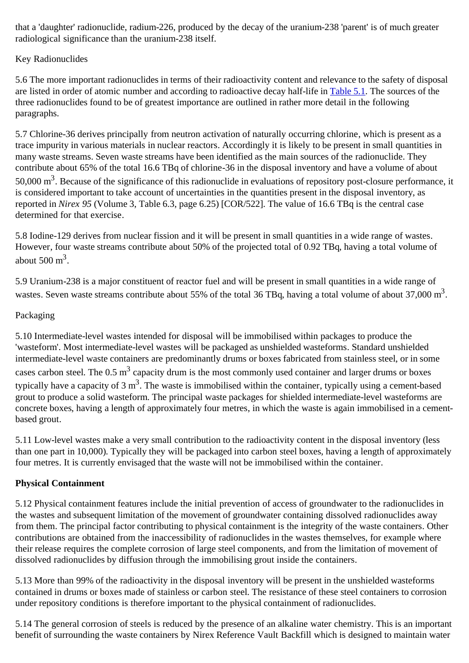that a 'daughter' radionuclide, radium-226, produced by the decay of the uranium-238 'parent' is of much greater radiological significance than the uranium-238 itself.

## Key Radionuclides

5.6 The more important radionuclides in terms of their radioactivity content and relevance to the safety of disposal are listed in order of atomic number and according to radioactive decay half-life in Table 5.1. The sources of the three radionuclides found to be of greatest importance are outlined in rather more detail in the following paragraphs.

5.7 Chlorine-36 derives principally from neutron activation of naturally occurring chlorine, which is present as a trace impurity in various materials in nuclear reactors. Accordingly it is likely to be present in small quantities in many waste streams. Seven waste streams have been identified as the main sources of the radionuclide. They contribute about 65% of the total 16.6 TBq of chlorine-36 in the disposal inventory and have a volume of about 50,000  $\text{m}^3$ . Because of the significance of this radionuclide in evaluations of repository post-closure performance, it is considered important to take account of uncertainties in the quantities present in the disposal inventory, as reported in *Nirex 95* (Volume 3, Table 6.3, page 6.25) [COR/522]. The value of 16.6 TBq is the central case determined for that exercise.

5.8 Iodine-129 derives from nuclear fission and it will be present in small quantities in a wide range of wastes. However, four waste streams contribute about 50% of the projected total of 0.92 TBq, having a total volume of about  $500 \text{ m}^3$ .

5.9 Uranium-238 is a major constituent of reactor fuel and will be present in small quantities in a wide range of wastes. Seven waste streams contribute about 55% of the total 36 TBq, having a total volume of about 37,000 m<sup>3</sup>.

## Packaging

5.10 Intermediate-level wastes intended for disposal will be immobilised within packages to produce the 'wasteform'. Most intermediate-level wastes will be packaged as unshielded wasteforms. Standard unshielded intermediate-level waste containers are predominantly drums or boxes fabricated from stainless steel, or in some cases carbon steel. The  $0.5 \text{ m}^3$  capacity drum is the most commonly used container and larger drums or boxes typically have a capacity of 3  $m<sup>3</sup>$ . The waste is immobilised within the container, typically using a cement-based grout to produce a solid wasteform. The principal waste packages for shielded intermediate-level wasteforms are concrete boxes, having a length of approximately four metres, in which the waste is again immobilised in a cementbased grout.

5.11 Low-level wastes make a very small contribution to the radioactivity content in the disposal inventory (less than one part in 10,000). Typically they will be packaged into carbon steel boxes, having a length of approximately four metres. It is currently envisaged that the waste will not be immobilised within the container.

## **Physical Containment**

5.12 Physical containment features include the initial prevention of access of groundwater to the radionuclides in the wastes and subsequent limitation of the movement of groundwater containing dissolved radionuclides away from them. The principal factor contributing to physical containment is the integrity of the waste containers. Other contributions are obtained from the inaccessibility of radionuclides in the wastes themselves, for example where their release requires the complete corrosion of large steel components, and from the limitation of movement of dissolved radionuclides by diffusion through the immobilising grout inside the containers.

5.13 More than 99% of the radioactivity in the disposal inventory will be present in the unshielded wasteforms contained in drums or boxes made of stainless or carbon steel. The resistance of these steel containers to corrosion under repository conditions is therefore important to the physical containment of radionuclides.

5.14 The general corrosion of steels is reduced by the presence of an alkaline water chemistry. This is an important benefit of surrounding the waste containers by Nirex Reference Vault Backfill which is designed to maintain water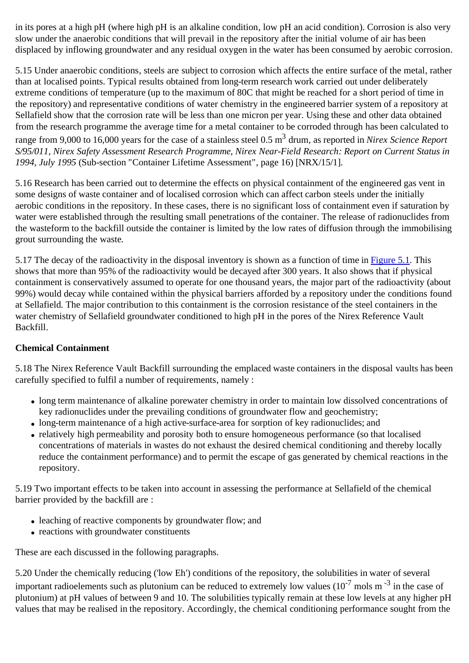in its pores at a high pH (where high pH is an alkaline condition, low pH an acid condition). Corrosion is also very slow under the anaerobic conditions that will prevail in the repository after the initial volume of air has been displaced by inflowing groundwater and any residual oxygen in the water has been consumed by aerobic corrosion.

5.15 Under anaerobic conditions, steels are subject to corrosion which affects the entire surface of the metal, rather than at localised points. Typical results obtained from long-term research work carried out under deliberately extreme conditions of temperature (up to the maximum of 80C that might be reached for a short period of time in the repository) and representative conditions of water chemistry in the engineered barrier system of a repository at Sellafield show that the corrosion rate will be less than one micron per year. Using these and other data obtained from the research programme the average time for a metal container to be corroded through has been calculated to range from 9,000 to 16,000 years for the case of a stainless steel 0.5 m3 drum, as reported in *Nirex Science Report S/95/011, Nirex Safety Assessment Research Programme, Nirex Near-Field Research: Report on Current Status in 1994, July 1995* (Sub-section "Container Lifetime Assessment", page 16) [NRX/15/1].

5.16 Research has been carried out to determine the effects on physical containment of the engineered gas vent in some designs of waste container and of localised corrosion which can affect carbon steels under the initially aerobic conditions in the repository. In these cases, there is no significant loss of containment even if saturation by water were established through the resulting small penetrations of the container. The release of radionuclides from the wasteform to the backfill outside the container is limited by the low rates of diffusion through the immobilising grout surrounding the waste.

5.17 The decay of the radioactivity in the disposal inventory is shown as a function of time in Figure 5.1. This shows that more than 95% of the radioactivity would be decayed after 300 years. It also shows that if physical containment is conservatively assumed to operate for one thousand years, the major part of the radioactivity (about 99%) would decay while contained within the physical barriers afforded by a repository under the conditions found at Sellafield. The major contribution to this containment is the corrosion resistance of the steel containers in the water chemistry of Sellafield groundwater conditioned to high pH in the pores of the Nirex Reference Vault Backfill.

## **Chemical Containment**

5.18 The Nirex Reference Vault Backfill surrounding the emplaced waste containers in the disposal vaults has been carefully specified to fulfil a number of requirements, namely :

- long term maintenance of alkaline porewater chemistry in order to maintain low dissolved concentrations of key radionuclides under the prevailing conditions of groundwater flow and geochemistry;
- long-term maintenance of a high active-surface-area for sorption of key radionuclides; and
- relatively high permeability and porosity both to ensure homogeneous performance (so that localised concentrations of materials in wastes do not exhaust the desired chemical conditioning and thereby locally reduce the containment performance) and to permit the escape of gas generated by chemical reactions in the repository.

5.19 Two important effects to be taken into account in assessing the performance at Sellafield of the chemical barrier provided by the backfill are :

- leaching of reactive components by groundwater flow; and
- reactions with groundwater constituents

These are each discussed in the following paragraphs.

5.20 Under the chemically reducing ('low Eh') conditions of the repository, the solubilities in water of several important radioelements such as plutonium can be reduced to extremely low values  $(10^{-7} \text{ mols m}^{-3}$  in the case of plutonium) at pH values of between 9 and 10. The solubilities typically remain at these low levels at any higher pH values that may be realised in the repository. Accordingly, the chemical conditioning performance sought from the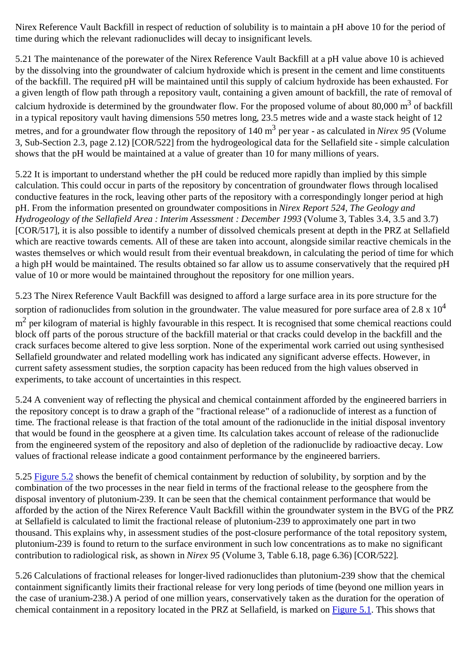Nirex Reference Vault Backfill in respect of reduction of solubility is to maintain a pH above 10 for the period of time during which the relevant radionuclides will decay to insignificant levels.

5.21 The maintenance of the porewater of the Nirex Reference Vault Backfill at a pH value above 10 is achieved by the dissolving into the groundwater of calcium hydroxide which is present in the cement and lime constituents of the backfill. The required pH will be maintained until this supply of calcium hydroxide has been exhausted. For a given length of flow path through a repository vault, containing a given amount of backfill, the rate of removal of calcium hydroxide is determined by the groundwater flow. For the proposed volume of about  $80,000 \text{ m}^3$  of backfill in a typical repository vault having dimensions 550 metres long, 23.5 metres wide and a waste stack height of 12 metres, and for a groundwater flow through the repository of 140 m<sup>3</sup> per year - as calculated in *Nirex 95* (Volume 3, Sub-Section 2.3, page 2.12) [COR/522] from the hydrogeological data for the Sellafield site - simple calculation shows that the pH would be maintained at a value of greater than 10 for many millions of years.

5.22 It is important to understand whether the pH could be reduced more rapidly than implied by this simple calculation. This could occur in parts of the repository by concentration of groundwater flows through localised conductive features in the rock, leaving other parts of the repository with a correspondingly longer period at high pH. From the information presented on groundwater compositions in *Nirex Report 524, The Geology and Hydrogeology of the Sellafield Area : Interim Assessment : December 1993* (Volume 3, Tables 3.4, 3.5 and 3.7) [COR/517], it is also possible to identify a number of dissolved chemicals present at depth in the PRZ at Sellafield which are reactive towards cements. All of these are taken into account, alongside similar reactive chemicals in the wastes themselves or which would result from their eventual breakdown, in calculating the period of time for which a high pH would be maintained. The results obtained so far allow us to assume conservatively that the required pH value of 10 or more would be maintained throughout the repository for one million years.

5.23 The Nirex Reference Vault Backfill was designed to afford a large surface area in its pore structure for the sorption of radionuclides from solution in the groundwater. The value measured for pore surface area of  $2.8 \times 10^4$  $m<sup>2</sup>$  per kilogram of material is highly favourable in this respect. It is recognised that some chemical reactions could block off parts of the porous structure of the backfill material or that cracks could develop in the backfill and the crack surfaces become altered to give less sorption. None of the experimental work carried out using synthesised Sellafield groundwater and related modelling work has indicated any significant adverse effects. However, in current safety assessment studies, the sorption capacity has been reduced from the high values observed in experiments, to take account of uncertainties in this respect.

5.24 A convenient way of reflecting the physical and chemical containment afforded by the engineered barriers in the repository concept is to draw a graph of the "fractional release" of a radionuclide of interest as a function of time. The fractional release is that fraction of the total amount of the radionuclide in the initial disposal inventory that would be found in the geosphere at a given time. Its calculation takes account of release of the radionuclide from the engineered system of the repository and also of depletion of the radionuclide by radioactive decay. Low values of fractional release indicate a good containment performance by the engineered barriers.

5.25 Figure 5.2 shows the benefit of chemical containment by reduction of solubility, by sorption and by the combination of the two processes in the near field in terms of the fractional release to the geosphere from the disposal inventory of plutonium-239. It can be seen that the chemical containment performance that would be afforded by the action of the Nirex Reference Vault Backfill within the groundwater system in the BVG of the PRZ at Sellafield is calculated to limit the fractional release of plutonium-239 to approximately one part in two thousand. This explains why, in assessment studies of the post-closure performance of the total repository system, plutonium-239 is found to return to the surface environment in such low concentrations as to make no significant contribution to radiological risk, as shown in *Nirex 95* (Volume 3, Table 6.18, page 6.36) [COR/522].

5.26 Calculations of fractional releases for longer-lived radionuclides than plutonium-239 show that the chemical containment significantly limits their fractional release for very long periods of time (beyond one million years in the case of uranium-238.) A period of one million years, conservatively taken as the duration for the operation of chemical containment in a repository located in the PRZ at Sellafield, is marked on Figure 5.1. This shows that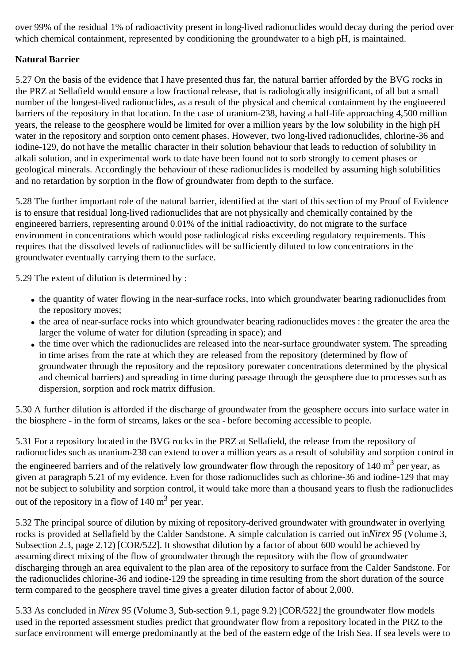over 99% of the residual 1% of radioactivity present in long-lived radionuclides would decay during the period over which chemical containment, represented by conditioning the groundwater to a high pH, is maintained.

## **Natural Barrier**

5.27 On the basis of the evidence that I have presented thus far, the natural barrier afforded by the BVG rocks in the PRZ at Sellafield would ensure a low fractional release, that is radiologically insignificant, of all but a small number of the longest-lived radionuclides, as a result of the physical and chemical containment by the engineered barriers of the repository in that location. In the case of uranium-238, having a half-life approaching 4,500 million years, the release to the geosphere would be limited for over a million years by the low solubility in the high pH water in the repository and sorption onto cement phases. However, two long-lived radionuclides, chlorine-36 and iodine-129, do not have the metallic character in their solution behaviour that leads to reduction of solubility in alkali solution, and in experimental work to date have been found not to sorb strongly to cement phases or geological minerals. Accordingly the behaviour of these radionuclides is modelled by assuming high solubilities and no retardation by sorption in the flow of groundwater from depth to the surface.

5.28 The further important role of the natural barrier, identified at the start of this section of my Proof of Evidence is to ensure that residual long-lived radionuclides that are not physically and chemically contained by the engineered barriers, representing around 0.01% of the initial radioactivity, do not migrate to the surface environment in concentrations which would pose radiological risks exceeding regulatory requirements. This requires that the dissolved levels of radionuclides will be sufficiently diluted to low concentrations in the groundwater eventually carrying them to the surface.

5.29 The extent of dilution is determined by :

- the quantity of water flowing in the near-surface rocks, into which groundwater bearing radionuclides from the repository moves;
- the area of near-surface rocks into which groundwater bearing radionuclides moves : the greater the area the larger the volume of water for dilution (spreading in space); and
- the time over which the radionuclides are released into the near-surface groundwater system. The spreading in time arises from the rate at which they are released from the repository (determined by flow of groundwater through the repository and the repository porewater concentrations determined by the physical and chemical barriers) and spreading in time during passage through the geosphere due to processes such as dispersion, sorption and rock matrix diffusion.

5.30 A further dilution is afforded if the discharge of groundwater from the geosphere occurs into surface water in the biosphere - in the form of streams, lakes or the sea - before becoming accessible to people.

5.31 For a repository located in the BVG rocks in the PRZ at Sellafield, the release from the repository of radionuclides such as uranium-238 can extend to over a million years as a result of solubility and sorption control in the engineered barriers and of the relatively low groundwater flow through the repository of 140  $m^3$  per year, as given at paragraph 5.21 of my evidence. Even for those radionuclides such as chlorine-36 and iodine-129 that may not be subject to solubility and sorption control, it would take more than a thousand years to flush the radionuclides out of the repository in a flow of  $140 \text{ m}^3$  per year.

5.32 The principal source of dilution by mixing of repository-derived groundwater with groundwater in overlying rocks is provided at Sellafield by the Calder Sandstone. A simple calculation is carried out in*Nirex 95* (Volume 3, Subsection 2.3, page 2.12) [COR/522]. It showsthat dilution by a factor of about 600 would be achieved by assuming direct mixing of the flow of groundwater through the repository with the flow of groundwater discharging through an area equivalent to the plan area of the repository to surface from the Calder Sandstone. For the radionuclides chlorine-36 and iodine-129 the spreading in time resulting from the short duration of the source term compared to the geosphere travel time gives a greater dilution factor of about 2,000.

5.33 As concluded in *Nirex 95* (Volume 3, Sub-section 9.1, page 9.2) [COR/522] the groundwater flow models used in the reported assessment studies predict that groundwater flow from a repository located in the PRZ to the surface environment will emerge predominantly at the bed of the eastern edge of the Irish Sea. If sea levels were to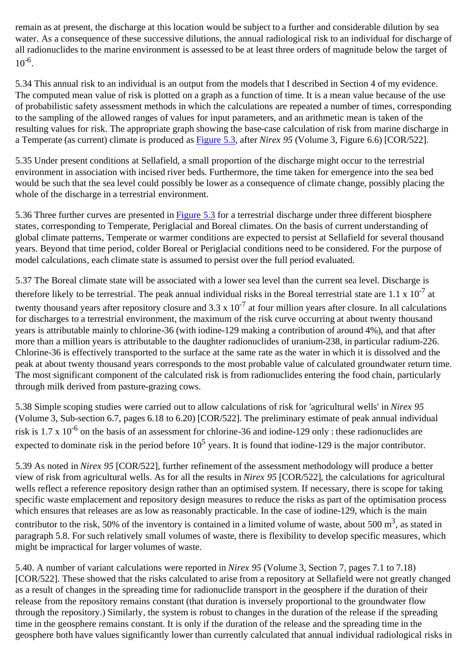remain as at present, the discharge at this location would be subject to a further and considerable dilution by sea water. As a consequence of these successive dilutions, the annual radiological risk to an individual for discharge of all radionuclides to the marine environment is assessed to be at least three orders of magnitude below the target of  $10^{-6}$ 

5.34 This annual risk to an individual is an output from the models that I described in Section 4 of my evidence. The computed mean value of risk is plotted on a graph as a function of time. It is a mean value because of the use of probabilistic safety assessment methods in which the calculations are repeated a number of times, corresponding to the sampling of the allowed ranges of values for input parameters, and an arithmetic mean is taken of the resulting values for risk. The appropriate graph showing the base-case calculation of risk from marine discharge in a Temperate (as current) climate is produced as Figure 5.3, after *Nirex 95* (Volume 3, Figure 6.6) [COR/522].

5.35 Under present conditions at Sellafield, a small proportion of the discharge might occur to the terrestrial environment in association with incised river beds. Furthermore, the time taken for emergence into the sea bed would be such that the sea level could possibly be lower as a consequence of climate change, possibly placing the whole of the discharge in a terrestrial environment.

5.36 Three further curves are presented in Figure 5.3 for a terrestrial discharge under three different biosphere states, corresponding to Temperate, Periglacial and Boreal climates. On the basis of current understanding of global climate patterns, Temperate or warmer conditions are expected to persist at Sellafield for several thousand years. Beyond that time period, colder Boreal or Periglacial conditions need to be considered. For the purpose of model calculations, each climate state is assumed to persist over the full period evaluated.

5.37 The Boreal climate state will be associated with a lower sea level than the current sea level. Discharge is therefore likely to be terrestrial. The peak annual individual risks in the Boreal terrestrial state are 1.1 x  $10^{-7}$  at twenty thousand years after repository closure and  $3.3 \times 10^{-7}$  at four million years after closure. In all calculations for discharges to a terrestrial environment, the maximum of the risk curve occurring at about twenty thousand years is attributable mainly to chlorine-36 (with iodine-129 making a contribution of around 4%), and that after more than a million years is attributable to the daughter radionuclides of uranium-238, in particular radium-226. Chlorine-36 is effectively transported to the surface at the same rate as the water in which it is dissolved and the peak at about twenty thousand years corresponds to the most probable value of calculated groundwater return time. The most significant component of the calculated risk is from radionuclides entering the food chain, particularly through milk derived from pasture-grazing cows.

5.38 Simple scoping studies were carried out to allow calculations of risk for 'agricultural wells' in *Nirex 95* (Volume 3, Sub-section 6.7, pages 6.18 to 6.20) [COR/522]. The preliminary estimate of peak annual individual risk is  $1.7 \times 10^{-6}$  on the basis of an assessment for chlorine-36 and iodine-129 only : these radionuclides are expected to dominate risk in the period before  $10^5$  years. It is found that iodine-129 is the major contributor.

5.39 As noted in *Nirex 95* [COR/522], further refinement of the assessment methodology will produce a better view of risk from agricultural wells. As for all the results in *Nirex 95* [COR/522], the calculations for agricultural wells reflect a reference repository design rather than an optimised system. If necessary, there is scope for taking specific waste emplacement and repository design measures to reduce the risks as part of the optimisation process which ensures that releases are as low as reasonably practicable. In the case of iodine-129, which is the main contributor to the risk, 50% of the inventory is contained in a limited volume of waste, about 500  $m<sup>3</sup>$ , as stated in paragraph 5.8. For such relatively small volumes of waste, there is flexibility to develop specific measures, which might be impractical for larger volumes of waste.

5.40. A number of variant calculations were reported in *Nirex 95* (Volume 3, Section 7, pages 7.1 to 7.18) [COR/522]. These showed that the risks calculated to arise from a repository at Sellafield were not greatly changed as a result of changes in the spreading time for radionuclide transport in the geosphere if the duration of their release from the repository remains constant (that duration is inversely proportional to the groundwater flow through the repository.) Similarly, the system is robust to changes in the duration of the release if the spreading time in the geosphere remains constant. It is only if the duration of the release and the spreading time in the geosphere both have values significantly lower than currently calculated that annual individual radiological risks in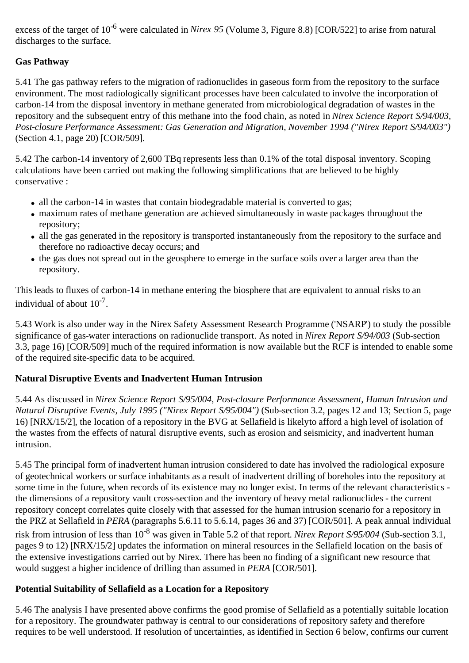excess of the target of 10<sup>-6</sup> were calculated in *Nirex 95* (Volume 3, Figure 8.8) [COR/522] to arise from natural discharges to the surface.

## **Gas Pathway**

5.41 The gas pathway refers to the migration of radionuclides in gaseous form from the repository to the surface environment. The most radiologically significant processes have been calculated to involve the incorporation of carbon-14 from the disposal inventory in methane generated from microbiological degradation of wastes in the repository and the subsequent entry of this methane into the food chain, as noted in *Nirex Science Report S/94/003, Post-closure Performance Assessment: Gas Generation and Migration, November 1994 ("Nirex Report S/94/003")* (Section 4.1, page 20) [COR/509].

5.42 The carbon-14 inventory of 2,600 TBq represents less than 0.1% of the total disposal inventory. Scoping calculations have been carried out making the following simplifications that are believed to be highly conservative :

- all the carbon-14 in wastes that contain biodegradable material is converted to gas;
- maximum rates of methane generation are achieved simultaneously in waste packages throughout the repository;
- all the gas generated in the repository is transported instantaneously from the repository to the surface and therefore no radioactive decay occurs; and
- the gas does not spread out in the geosphere to emerge in the surface soils over a larger area than the repository.

This leads to fluxes of carbon-14 in methane entering the biosphere that are equivalent to annual risks to an individual of about  $10^{-7}$ .

5.43 Work is also under way in the Nirex Safety Assessment Research Programme ('NSARP') to study the possible significance of gas-water interactions on radionuclide transport. As noted in *Nirex Report S/94/003* (Sub-section 3.3, page 16) [COR/509] much of the required information is now available but the RCF is intended to enable some of the required site-specific data to be acquired.

## **Natural Disruptive Events and Inadvertent Human Intrusion**

5.44 As discussed in *Nirex Science Report S/95/004, Post-closure Performance Assessment, Human Intrusion and Natural Disruptive Events, July 1995 ("Nirex Report S/95/004")* (Sub-section 3.2, pages 12 and 13; Section 5, page 16) [NRX/15/2], the location of a repository in the BVG at Sellafield is likelyto afford a high level of isolation of the wastes from the effects of natural disruptive events, such as erosion and seismicity, and inadvertent human intrusion.

5.45 The principal form of inadvertent human intrusion considered to date has involved the radiological exposure of geotechnical workers or surface inhabitants as a result of inadvertent drilling of boreholes into the repository at some time in the future, when records of its existence may no longer exist. In terms of the relevant characteristics the dimensions of a repository vault cross-section and the inventory of heavy metal radionuclides - the current repository concept correlates quite closely with that assessed for the human intrusion scenario for a repository in the PRZ at Sellafield in *PERA* (paragraphs 5.6.11 to 5.6.14, pages 36 and 37) [COR/501]. A peak annual individual risk from intrusion of less than 10-8 was given in Table 5.2 of that report. *Nirex Report S/95/004* (Sub-section 3.1, pages 9 to 12) [NRX/15/2] updates the information on mineral resources in the Sellafield location on the basis of the extensive investigations carried out by Nirex. There has been no finding of a significant new resource that would suggest a higher incidence of drilling than assumed in *PERA* [COR/501].

## **Potential Suitability of Sellafield as a Location for a Repository**

5.46 The analysis I have presented above confirms the good promise of Sellafield as a potentially suitable location for a repository. The groundwater pathway is central to our considerations of repository safety and therefore requires to be well understood. If resolution of uncertainties, as identified in Section 6 below, confirms our current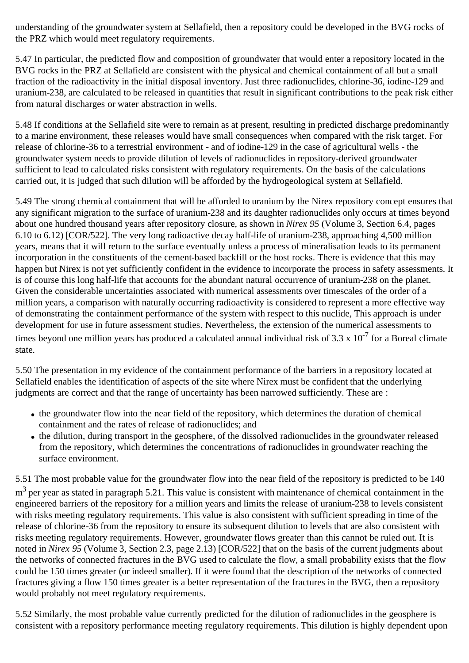understanding of the groundwater system at Sellafield, then a repository could be developed in the BVG rocks of the PRZ which would meet regulatory requirements.

5.47 In particular, the predicted flow and composition of groundwater that would enter a repository located in the BVG rocks in the PRZ at Sellafield are consistent with the physical and chemical containment of all but a small fraction of the radioactivity in the initial disposal inventory. Just three radionuclides, chlorine-36, iodine-129 and uranium-238, are calculated to be released in quantities that result in significant contributions to the peak risk either from natural discharges or water abstraction in wells.

5.48 If conditions at the Sellafield site were to remain as at present, resulting in predicted discharge predominantly to a marine environment, these releases would have small consequences when compared with the risk target. For release of chlorine-36 to a terrestrial environment - and of iodine-129 in the case of agricultural wells - the groundwater system needs to provide dilution of levels of radionuclides in repository-derived groundwater sufficient to lead to calculated risks consistent with regulatory requirements. On the basis of the calculations carried out, it is judged that such dilution will be afforded by the hydrogeological system at Sellafield.

5.49 The strong chemical containment that will be afforded to uranium by the Nirex repository concept ensures that any significant migration to the surface of uranium-238 and its daughter radionuclides only occurs at times beyond about one hundred thousand years after repository closure, as shown in *Nirex 95* (Volume 3, Section 6.4, pages 6.10 to 6.12) [COR/522]. The very long radioactive decay half-life of uranium-238, approaching 4,500 million years, means that it will return to the surface eventually unless a process of mineralisation leads to its permanent incorporation in the constituents of the cement-based backfill or the host rocks. There is evidence that this may happen but Nirex is not yet sufficiently confident in the evidence to incorporate the process in safety assessments. It is of course this long half-life that accounts for the abundant natural occurrence of uranium-238 on the planet. Given the considerable uncertainties associated with numerical assessments over timescales of the order of a million years, a comparison with naturally occurring radioactivity is considered to represent a more effective way of demonstrating the containment performance of the system with respect to this nuclide, This approach is under development for use in future assessment studies. Nevertheless, the extension of the numerical assessments to times beyond one million years has produced a calculated annual individual risk of 3.3 x  $10^{-7}$  for a Boreal climate state.

5.50 The presentation in my evidence of the containment performance of the barriers in a repository located at Sellafield enables the identification of aspects of the site where Nirex must be confident that the underlying judgments are correct and that the range of uncertainty has been narrowed sufficiently. These are :

- the groundwater flow into the near field of the repository, which determines the duration of chemical containment and the rates of release of radionuclides; and
- the dilution, during transport in the geosphere, of the dissolved radionuclides in the groundwater released from the repository, which determines the concentrations of radionuclides in groundwater reaching the surface environment.

5.51 The most probable value for the groundwater flow into the near field of the repository is predicted to be 140  $m<sup>3</sup>$  per year as stated in paragraph 5.21. This value is consistent with maintenance of chemical containment in the engineered barriers of the repository for a million years and limits the release of uranium-238 to levels consistent with risks meeting regulatory requirements. This value is also consistent with sufficient spreading in time of the release of chlorine-36 from the repository to ensure its subsequent dilution to levels that are also consistent with risks meeting regulatory requirements. However, groundwater flows greater than this cannot be ruled out. It is noted in *Nirex 95* (Volume 3, Section 2.3, page 2.13) [COR/522] that on the basis of the current judgments about the networks of connected fractures in the BVG used to calculate the flow, a small probability exists that the flow could be 150 times greater (or indeed smaller). If it were found that the description of the networks of connected fractures giving a flow 150 times greater is a better representation of the fractures in the BVG, then a repository would probably not meet regulatory requirements.

5.52 Similarly, the most probable value currently predicted for the dilution of radionuclides in the geosphere is consistent with a repository performance meeting regulatory requirements. This dilution is highly dependent upon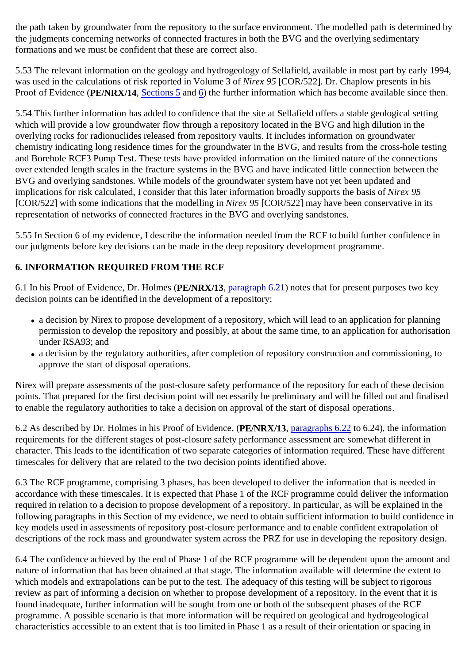the path taken by groundwater from the repository to the surface environment. The modelled path is determined by the judgments concerning networks of connected fractures in both the BVG and the overlying sedimentary formations and we must be confident that these are correct also.

5.53 The relevant information on the geology and hydrogeology of Sellafield, available in most part by early 1994, was used in the calculations of risk reported in Volume 3 of *Nirex 95* [COR/522]. Dr. Chaplow presents in his Proof of Evidence (**PE/NRX/14**, Sections 5 and 6) the further information which has become available since then.

5.54 This further information has added to confidence that the site at Sellafield offers a stable geological setting which will provide a low groundwater flow through a repository located in the BVG and high dilution in the overlying rocks for radionuclides released from repository vaults. It includes information on groundwater chemistry indicating long residence times for the groundwater in the BVG, and results from the cross-hole testing and Borehole RCF3 Pump Test. These tests have provided information on the limited nature of the connections over extended length scales in the fracture systems in the BVG and have indicated little connection between the BVG and overlying sandstones. While models of the groundwater system have not yet been updated and implications for risk calculated, I consider that this later information broadly supports the basis of *Nirex 95* [COR/522] with some indications that the modelling in *Nirex 95* [COR/522] may have been conservative in its representation of networks of connected fractures in the BVG and overlying sandstones.

5.55 In Section 6 of my evidence, I describe the information needed from the RCF to build further confidence in our judgments before key decisions can be made in the deep repository development programme.

#### **6. INFORMATION REQUIRED FROM THE RCF**

6.1 In his Proof of Evidence, Dr. Holmes (**PE/NRX/13**, paragraph 6.21) notes that for present purposes two key decision points can be identified in the development of a repository:

- a decision by Nirex to propose development of a repository, which will lead to an application for planning permission to develop the repository and possibly, at about the same time, to an application for authorisation under RSA93; and
- a decision by the regulatory authorities, after completion of repository construction and commissioning, to approve the start of disposal operations.

Nirex will prepare assessments of the post-closure safety performance of the repository for each of these decision points. That prepared for the first decision point will necessarily be preliminary and will be filled out and finalised to enable the regulatory authorities to take a decision on approval of the start of disposal operations.

6.2 As described by Dr. Holmes in his Proof of Evidence, (**PE/NRX/13**, paragraphs 6.22 to 6.24), the information requirements for the different stages of post-closure safety performance assessment are somewhat different in character. This leads to the identification of two separate categories of information required. These have different timescales for delivery that are related to the two decision points identified above.

6.3 The RCF programme, comprising 3 phases, has been developed to deliver the information that is needed in accordance with these timescales. It is expected that Phase 1 of the RCF programme could deliver the information required in relation to a decision to propose development of a repository. In particular, as will be explained in the following paragraphs in this Section of my evidence, we need to obtain sufficient information to build confidence in key models used in assessments of repository post-closure performance and to enable confident extrapolation of descriptions of the rock mass and groundwater system across the PRZ for use in developing the repository design.

6.4 The confidence achieved by the end of Phase 1 of the RCF programme will be dependent upon the amount and nature of information that has been obtained at that stage. The information available will determine the extent to which models and extrapolations can be put to the test. The adequacy of this testing will be subject to rigorous review as part of informing a decision on whether to propose development of a repository. In the event that it is found inadequate, further information will be sought from one or both of the subsequent phases of the RCF programme. A possible scenario is that more information will be required on geological and hydrogeological characteristics accessible to an extent that is too limited in Phase 1 as a result of their orientation or spacing in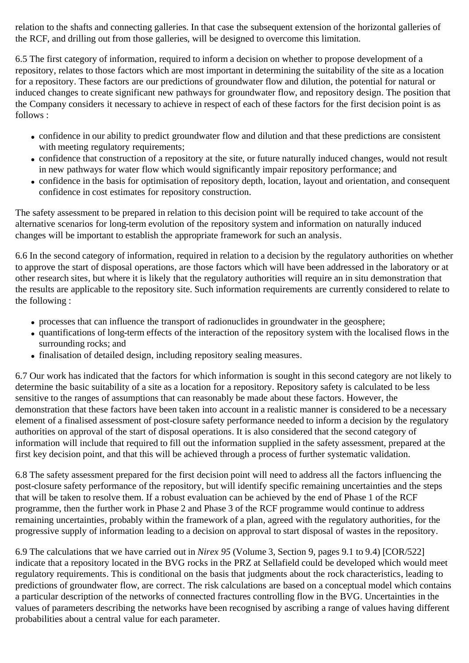relation to the shafts and connecting galleries. In that case the subsequent extension of the horizontal galleries of the RCF, and drilling out from those galleries, will be designed to overcome this limitation.

6.5 The first category of information, required to inform a decision on whether to propose development of a repository, relates to those factors which are most important in determining the suitability of the site as a location for a repository. These factors are our predictions of groundwater flow and dilution, the potential for natural or induced changes to create significant new pathways for groundwater flow, and repository design. The position that the Company considers it necessary to achieve in respect of each of these factors for the first decision point is as follows :

- confidence in our ability to predict groundwater flow and dilution and that these predictions are consistent with meeting regulatory requirements;
- confidence that construction of a repository at the site, or future naturally induced changes, would not result in new pathways for water flow which would significantly impair repository performance; and
- confidence in the basis for optimisation of repository depth, location, layout and orientation, and consequent confidence in cost estimates for repository construction.

The safety assessment to be prepared in relation to this decision point will be required to take account of the alternative scenarios for long-term evolution of the repository system and information on naturally induced changes will be important to establish the appropriate framework for such an analysis.

6.6 In the second category of information, required in relation to a decision by the regulatory authorities on whether to approve the start of disposal operations, are those factors which will have been addressed in the laboratory or at other research sites, but where it is likely that the regulatory authorities will require an in situ demonstration that the results are applicable to the repository site. Such information requirements are currently considered to relate to the following :

- processes that can influence the transport of radionuclides in groundwater in the geosphere;
- quantifications of long-term effects of the interaction of the repository system with the localised flows in the surrounding rocks; and
- finalisation of detailed design, including repository sealing measures.

6.7 Our work has indicated that the factors for which information is sought in this second category are not likely to determine the basic suitability of a site as a location for a repository. Repository safety is calculated to be less sensitive to the ranges of assumptions that can reasonably be made about these factors. However, the demonstration that these factors have been taken into account in a realistic manner is considered to be a necessary element of a finalised assessment of post-closure safety performance needed to inform a decision by the regulatory authorities on approval of the start of disposal operations. It is also considered that the second category of information will include that required to fill out the information supplied in the safety assessment, prepared at the first key decision point, and that this will be achieved through a process of further systematic validation.

6.8 The safety assessment prepared for the first decision point will need to address all the factors influencing the post-closure safety performance of the repository, but will identify specific remaining uncertainties and the steps that will be taken to resolve them. If a robust evaluation can be achieved by the end of Phase 1 of the RCF programme, then the further work in Phase 2 and Phase 3 of the RCF programme would continue to address remaining uncertainties, probably within the framework of a plan, agreed with the regulatory authorities, for the progressive supply of information leading to a decision on approval to start disposal of wastes in the repository.

6.9 The calculations that we have carried out in *Nirex 95* (Volume 3, Section 9, pages 9.1 to 9.4) [COR/522] indicate that a repository located in the BVG rocks in the PRZ at Sellafield could be developed which would meet regulatory requirements. This is conditional on the basis that judgments about the rock characteristics, leading to predictions of groundwater flow, are correct. The risk calculations are based on a conceptual model which contains a particular description of the networks of connected fractures controlling flow in the BVG. Uncertainties in the values of parameters describing the networks have been recognised by ascribing a range of values having different probabilities about a central value for each parameter.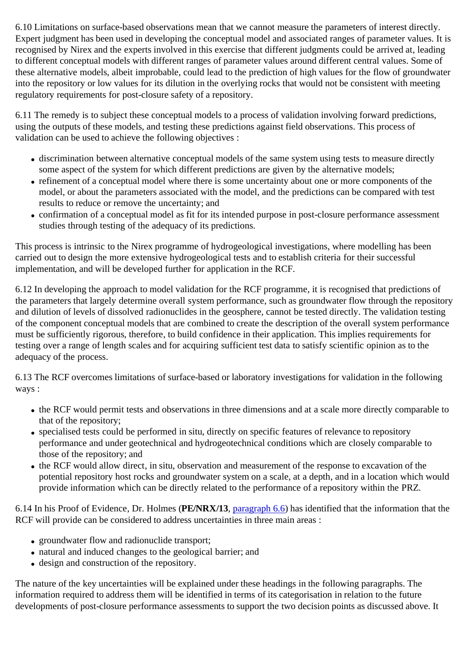6.10 Limitations on surface-based observations mean that we cannot measure the parameters of interest directly. Expert judgment has been used in developing the conceptual model and associated ranges of parameter values. It is recognised by Nirex and the experts involved in this exercise that different judgments could be arrived at, leading to different conceptual models with different ranges of parameter values around different central values. Some of these alternative models, albeit improbable, could lead to the prediction of high values for the flow of groundwater into the repository or low values for its dilution in the overlying rocks that would not be consistent with meeting regulatory requirements for post-closure safety of a repository.

6.11 The remedy is to subject these conceptual models to a process of validation involving forward predictions, using the outputs of these models, and testing these predictions against field observations. This process of validation can be used to achieve the following objectives :

- discrimination between alternative conceptual models of the same system using tests to measure directly some aspect of the system for which different predictions are given by the alternative models;
- refinement of a conceptual model where there is some uncertainty about one or more components of the model, or about the parameters associated with the model, and the predictions can be compared with test results to reduce or remove the uncertainty; and
- confirmation of a conceptual model as fit for its intended purpose in post-closure performance assessment studies through testing of the adequacy of its predictions.

This process is intrinsic to the Nirex programme of hydrogeological investigations, where modelling has been carried out to design the more extensive hydrogeological tests and to establish criteria for their successful implementation, and will be developed further for application in the RCF.

6.12 In developing the approach to model validation for the RCF programme, it is recognised that predictions of the parameters that largely determine overall system performance, such as groundwater flow through the repository and dilution of levels of dissolved radionuclides in the geosphere, cannot be tested directly. The validation testing of the component conceptual models that are combined to create the description of the overall system performance must be sufficiently rigorous, therefore, to build confidence in their application. This implies requirements for testing over a range of length scales and for acquiring sufficient test data to satisfy scientific opinion as to the adequacy of the process.

6.13 The RCF overcomes limitations of surface-based or laboratory investigations for validation in the following ways :

- the RCF would permit tests and observations in three dimensions and at a scale more directly comparable to that of the repository;
- specialised tests could be performed in situ, directly on specific features of relevance to repository performance and under geotechnical and hydrogeotechnical conditions which are closely comparable to those of the repository; and
- the RCF would allow direct, in situ, observation and measurement of the response to excavation of the potential repository host rocks and groundwater system on a scale, at a depth, and in a location which would provide information which can be directly related to the performance of a repository within the PRZ.

6.14 In his Proof of Evidence, Dr. Holmes (**PE/NRX/13**, paragraph 6.6) has identified that the information that the RCF will provide can be considered to address uncertainties in three main areas :

- groundwater flow and radionuclide transport;
- natural and induced changes to the geological barrier; and
- design and construction of the repository.

The nature of the key uncertainties will be explained under these headings in the following paragraphs. The information required to address them will be identified in terms of its categorisation in relation to the future developments of post-closure performance assessments to support the two decision points as discussed above. It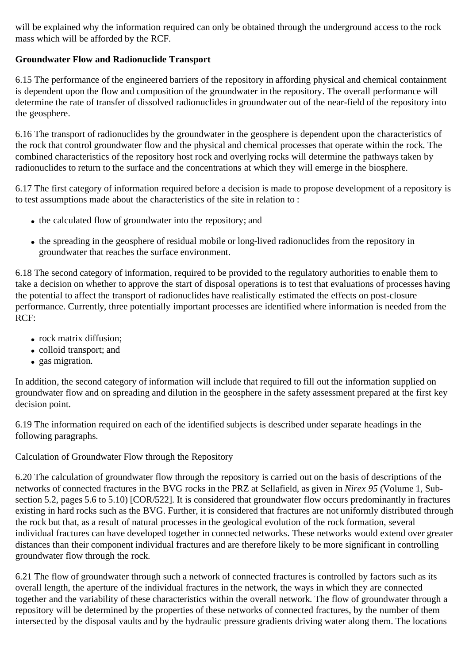will be explained why the information required can only be obtained through the underground access to the rock mass which will be afforded by the RCF.

## **Groundwater Flow and Radionuclide Transport**

6.15 The performance of the engineered barriers of the repository in affording physical and chemical containment is dependent upon the flow and composition of the groundwater in the repository. The overall performance will determine the rate of transfer of dissolved radionuclides in groundwater out of the near-field of the repository into the geosphere.

6.16 The transport of radionuclides by the groundwater in the geosphere is dependent upon the characteristics of the rock that control groundwater flow and the physical and chemical processes that operate within the rock. The combined characteristics of the repository host rock and overlying rocks will determine the pathways taken by radionuclides to return to the surface and the concentrations at which they will emerge in the biosphere.

6.17 The first category of information required before a decision is made to propose development of a repository is to test assumptions made about the characteristics of the site in relation to :

- the calculated flow of groundwater into the repository; and
- the spreading in the geosphere of residual mobile or long-lived radionuclides from the repository in groundwater that reaches the surface environment.

6.18 The second category of information, required to be provided to the regulatory authorities to enable them to take a decision on whether to approve the start of disposal operations is to test that evaluations of processes having the potential to affect the transport of radionuclides have realistically estimated the effects on post-closure performance. Currently, three potentially important processes are identified where information is needed from the RCF:

- rock matrix diffusion:
- colloid transport; and
- gas migration.

In addition, the second category of information will include that required to fill out the information supplied on groundwater flow and on spreading and dilution in the geosphere in the safety assessment prepared at the first key decision point.

6.19 The information required on each of the identified subjects is described under separate headings in the following paragraphs.

Calculation of Groundwater Flow through the Repository

6.20 The calculation of groundwater flow through the repository is carried out on the basis of descriptions of the networks of connected fractures in the BVG rocks in the PRZ at Sellafield, as given in *Nirex 95* (Volume 1, Subsection 5.2, pages 5.6 to 5.10) [COR/522]. It is considered that groundwater flow occurs predominantly in fractures existing in hard rocks such as the BVG. Further, it is considered that fractures are not uniformly distributed through the rock but that, as a result of natural processes in the geological evolution of the rock formation, several individual fractures can have developed together in connected networks. These networks would extend over greater distances than their component individual fractures and are therefore likely to be more significant in controlling groundwater flow through the rock.

6.21 The flow of groundwater through such a network of connected fractures is controlled by factors such as its overall length, the aperture of the individual fractures in the network, the ways in which they are connected together and the variability of these characteristics within the overall network. The flow of groundwater through a repository will be determined by the properties of these networks of connected fractures, by the number of them intersected by the disposal vaults and by the hydraulic pressure gradients driving water along them. The locations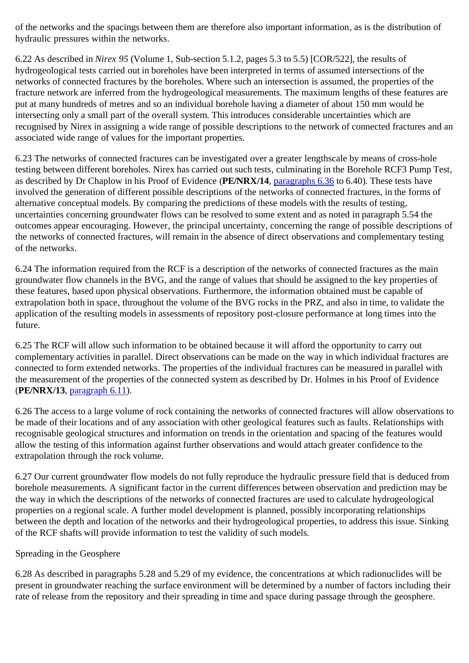of the networks and the spacings between them are therefore also important information, as is the distribution of hydraulic pressures within the networks.

6.22 As described in *Nirex 95* (Volume 1, Sub-section 5.1.2, pages 5.3 to 5.5) [COR/522], the results of hydrogeological tests carried out in boreholes have been interpreted in terms of assumed intersections of the networks of connected fractures by the boreholes. Where such an intersection is assumed, the properties of the fracture network are inferred from the hydrogeological measurements. The maximum lengths of these features are put at many hundreds of metres and so an individual borehole having a diameter of about 150 mm would be intersecting only a small part of the overall system. This introduces considerable uncertainties which are recognised by Nirex in assigning a wide range of possible descriptions to the network of connected fractures and an associated wide range of values for the important properties.

6.23 The networks of connected fractures can be investigated over a greater lengthscale by means of cross-hole testing between different boreholes. Nirex has carried out such tests, culminating in the Borehole RCF3 Pump Test, as described by Dr Chaplow in his Proof of Evidence (**PE/NRX/14**, paragraphs 6.36 to 6.40). These tests have involved the generation of different possible descriptions of the networks of connected fractures, in the forms of alternative conceptual models. By comparing the predictions of these models with the results of testing, uncertainties concerning groundwater flows can be resolved to some extent and as noted in paragraph 5.54 the outcomes appear encouraging. However, the principal uncertainty, concerning the range of possible descriptions of the networks of connected fractures, will remain in the absence of direct observations and complementary testing of the networks.

6.24 The information required from the RCF is a description of the networks of connected fractures as the main groundwater flow channels in the BVG, and the range of values that should be assigned to the key properties of these features, based upon physical observations. Furthermore, the information obtained must be capable of extrapolation both in space, throughout the volume of the BVG rocks in the PRZ, and also in time, to validate the application of the resulting models in assessments of repository post-closure performance at long times into the future.

6.25 The RCF will allow such information to be obtained because it will afford the opportunity to carry out complementary activities in parallel. Direct observations can be made on the way in which individual fractures are connected to form extended networks. The properties of the individual fractures can be measured in parallel with the measurement of the properties of the connected system as described by Dr. Holmes in his Proof of Evidence (**PE/NRX/13**, paragraph 6.11).

6.26 The access to a large volume of rock containing the networks of connected fractures will allow observations to be made of their locations and of any association with other geological features such as faults. Relationships with recognisable geological structures and information on trends in the orientation and spacing of the features would allow the testing of this information against further observations and would attach greater confidence to the extrapolation through the rock volume.

6.27 Our current groundwater flow models do not fully reproduce the hydraulic pressure field that is deduced from borehole measurements. A significant factor in the current differences between observation and prediction may be the way in which the descriptions of the networks of connected fractures are used to calculate hydrogeological properties on a regional scale. A further model development is planned, possibly incorporating relationships between the depth and location of the networks and their hydrogeological properties, to address this issue. Sinking of the RCF shafts will provide information to test the validity of such models.

#### Spreading in the Geosphere

6.28 As described in paragraphs 5.28 and 5.29 of my evidence, the concentrations at which radionuclides will be present in groundwater reaching the surface environment will be determined by a number of factors including their rate of release from the repository and their spreading in time and space during passage through the geosphere.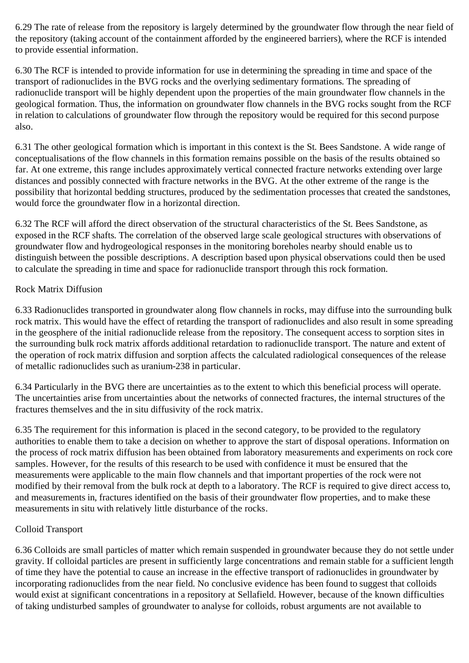6.29 The rate of release from the repository is largely determined by the groundwater flow through the near field of the repository (taking account of the containment afforded by the engineered barriers), where the RCF is intended to provide essential information.

6.30 The RCF is intended to provide information for use in determining the spreading in time and space of the transport of radionuclides in the BVG rocks and the overlying sedimentary formations. The spreading of radionuclide transport will be highly dependent upon the properties of the main groundwater flow channels in the geological formation. Thus, the information on groundwater flow channels in the BVG rocks sought from the RCF in relation to calculations of groundwater flow through the repository would be required for this second purpose also.

6.31 The other geological formation which is important in this context is the St. Bees Sandstone. A wide range of conceptualisations of the flow channels in this formation remains possible on the basis of the results obtained so far. At one extreme, this range includes approximately vertical connected fracture networks extending over large distances and possibly connected with fracture networks in the BVG. At the other extreme of the range is the possibility that horizontal bedding structures, produced by the sedimentation processes that created the sandstones, would force the groundwater flow in a horizontal direction.

6.32 The RCF will afford the direct observation of the structural characteristics of the St. Bees Sandstone, as exposed in the RCF shafts. The correlation of the observed large scale geological structures with observations of groundwater flow and hydrogeological responses in the monitoring boreholes nearby should enable us to distinguish between the possible descriptions. A description based upon physical observations could then be used to calculate the spreading in time and space for radionuclide transport through this rock formation.

#### Rock Matrix Diffusion

6.33 Radionuclides transported in groundwater along flow channels in rocks, may diffuse into the surrounding bulk rock matrix. This would have the effect of retarding the transport of radionuclides and also result in some spreading in the geosphere of the initial radionuclide release from the repository. The consequent access to sorption sites in the surrounding bulk rock matrix affords additional retardation to radionuclide transport. The nature and extent of the operation of rock matrix diffusion and sorption affects the calculated radiological consequences of the release of metallic radionuclides such as uranium-238 in particular.

6.34 Particularly in the BVG there are uncertainties as to the extent to which this beneficial process will operate. The uncertainties arise from uncertainties about the networks of connected fractures, the internal structures of the fractures themselves and the in situ diffusivity of the rock matrix.

6.35 The requirement for this information is placed in the second category, to be provided to the regulatory authorities to enable them to take a decision on whether to approve the start of disposal operations. Information on the process of rock matrix diffusion has been obtained from laboratory measurements and experiments on rock core samples. However, for the results of this research to be used with confidence it must be ensured that the measurements were applicable to the main flow channels and that important properties of the rock were not modified by their removal from the bulk rock at depth to a laboratory. The RCF is required to give direct access to, and measurements in, fractures identified on the basis of their groundwater flow properties, and to make these measurements in situ with relatively little disturbance of the rocks.

#### Colloid Transport

6.36 Colloids are small particles of matter which remain suspended in groundwater because they do not settle under gravity. If colloidal particles are present in sufficiently large concentrations and remain stable for a sufficient length of time they have the potential to cause an increase in the effective transport of radionuclides in groundwater by incorporating radionuclides from the near field. No conclusive evidence has been found to suggest that colloids would exist at significant concentrations in a repository at Sellafield. However, because of the known difficulties of taking undisturbed samples of groundwater to analyse for colloids, robust arguments are not available to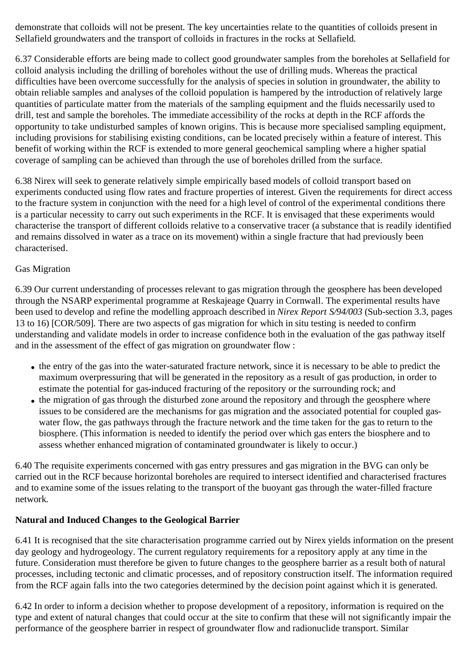demonstrate that colloids will not be present. The key uncertainties relate to the quantities of colloids present in Sellafield groundwaters and the transport of colloids in fractures in the rocks at Sellafield.

6.37 Considerable efforts are being made to collect good groundwater samples from the boreholes at Sellafield for colloid analysis including the drilling of boreholes without the use of drilling muds. Whereas the practical difficulties have been overcome successfully for the analysis of species in solution in groundwater, the ability to obtain reliable samples and analyses of the colloid population is hampered by the introduction of relatively large quantities of particulate matter from the materials of the sampling equipment and the fluids necessarily used to drill, test and sample the boreholes. The immediate accessibility of the rocks at depth in the RCF affords the opportunity to take undisturbed samples of known origins. This is because more specialised sampling equipment, including provisions for stabilising existing conditions, can be located precisely within a feature of interest. This benefit of working within the RCF is extended to more general geochemical sampling where a higher spatial coverage of sampling can be achieved than through the use of boreholes drilled from the surface.

6.38 Nirex will seek to generate relatively simple empirically based models of colloid transport based on experiments conducted using flow rates and fracture properties of interest. Given the requirements for direct access to the fracture system in conjunction with the need for a high level of control of the experimental conditions there is a particular necessity to carry out such experiments in the RCF. It is envisaged that these experiments would characterise the transport of different colloids relative to a conservative tracer (a substance that is readily identified and remains dissolved in water as a trace on its movement) within a single fracture that had previously been characterised.

#### Gas Migration

6.39 Our current understanding of processes relevant to gas migration through the geosphere has been developed through the NSARP experimental programme at Reskajeage Quarry in Cornwall. The experimental results have been used to develop and refine the modelling approach described in *Nirex Report S/94/003* (Sub-section 3.3, pages 13 to 16) [COR/509]. There are two aspects of gas migration for which in situ testing is needed to confirm understanding and validate models in order to increase confidence both in the evaluation of the gas pathway itself and in the assessment of the effect of gas migration on groundwater flow :

- the entry of the gas into the water-saturated fracture network, since it is necessary to be able to predict the maximum overpressuring that will be generated in the repository as a result of gas production, in order to estimate the potential for gas-induced fracturing of the repository or the surrounding rock; and
- the migration of gas through the disturbed zone around the repository and through the geosphere where issues to be considered are the mechanisms for gas migration and the associated potential for coupled gaswater flow, the gas pathways through the fracture network and the time taken for the gas to return to the biosphere. (This information is needed to identify the period over which gas enters the biosphere and to assess whether enhanced migration of contaminated groundwater is likely to occur.)

6.40 The requisite experiments concerned with gas entry pressures and gas migration in the BVG can only be carried out in the RCF because horizontal boreholes are required to intersect identified and characterised fractures and to examine some of the issues relating to the transport of the buoyant gas through the water-filled fracture network.

#### **Natural and Induced Changes to the Geological Barrier**

6.41 It is recognised that the site characterisation programme carried out by Nirex yields information on the present day geology and hydrogeology. The current regulatory requirements for a repository apply at any time in the future. Consideration must therefore be given to future changes to the geosphere barrier as a result both of natural processes, including tectonic and climatic processes, and of repository construction itself. The information required from the RCF again falls into the two categories determined by the decision point against which it is generated.

6.42 In order to inform a decision whether to propose development of a repository, information is required on the type and extent of natural changes that could occur at the site to confirm that these will not significantly impair the performance of the geosphere barrier in respect of groundwater flow and radionuclide transport. Similar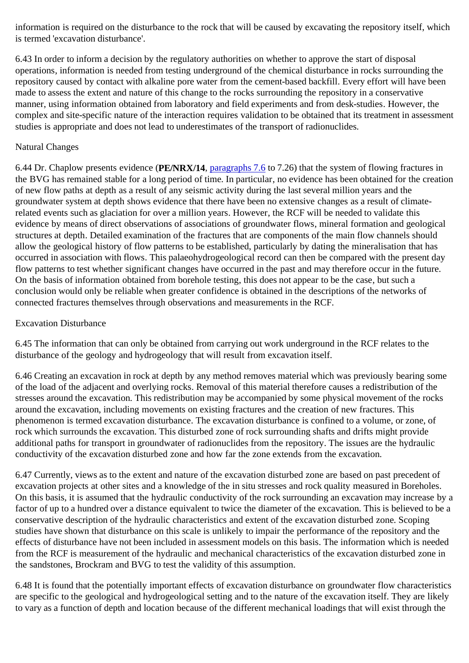information is required on the disturbance to the rock that will be caused by excavating the repository itself, which is termed 'excavation disturbance'.

6.43 In order to inform a decision by the regulatory authorities on whether to approve the start of disposal operations, information is needed from testing underground of the chemical disturbance in rocks surrounding the repository caused by contact with alkaline pore water from the cement-based backfill. Every effort will have been made to assess the extent and nature of this change to the rocks surrounding the repository in a conservative manner, using information obtained from laboratory and field experiments and from desk-studies. However, the complex and site-specific nature of the interaction requires validation to be obtained that its treatment in assessment studies is appropriate and does not lead to underestimates of the transport of radionuclides.

#### Natural Changes

6.44 Dr. Chaplow presents evidence (**PE/NRX/14**, paragraphs 7.6 to 7.26) that the system of flowing fractures in the BVG has remained stable for a long period of time. In particular, no evidence has been obtained for the creation of new flow paths at depth as a result of any seismic activity during the last several million years and the groundwater system at depth shows evidence that there have been no extensive changes as a result of climaterelated events such as glaciation for over a million years. However, the RCF will be needed to validate this evidence by means of direct observations of associations of groundwater flows, mineral formation and geological structures at depth. Detailed examination of the fractures that are components of the main flow channels should allow the geological history of flow patterns to be established, particularly by dating the mineralisation that has occurred in association with flows. This palaeohydrogeological record can then be compared with the present day flow patterns to test whether significant changes have occurred in the past and may therefore occur in the future. On the basis of information obtained from borehole testing, this does not appear to be the case, but such a conclusion would only be reliable when greater confidence is obtained in the descriptions of the networks of connected fractures themselves through observations and measurements in the RCF.

#### Excavation Disturbance

6.45 The information that can only be obtained from carrying out work underground in the RCF relates to the disturbance of the geology and hydrogeology that will result from excavation itself.

6.46 Creating an excavation in rock at depth by any method removes material which was previously bearing some of the load of the adjacent and overlying rocks. Removal of this material therefore causes a redistribution of the stresses around the excavation. This redistribution may be accompanied by some physical movement of the rocks around the excavation, including movements on existing fractures and the creation of new fractures. This phenomenon is termed excavation disturbance. The excavation disturbance is confined to a volume, or zone, of rock which surrounds the excavation. This disturbed zone of rock surrounding shafts and drifts might provide additional paths for transport in groundwater of radionuclides from the repository. The issues are the hydraulic conductivity of the excavation disturbed zone and how far the zone extends from the excavation.

6.47 Currently, views as to the extent and nature of the excavation disturbed zone are based on past precedent of excavation projects at other sites and a knowledge of the in situ stresses and rock quality measured in Boreholes. On this basis, it is assumed that the hydraulic conductivity of the rock surrounding an excavation may increase by a factor of up to a hundred over a distance equivalent to twice the diameter of the excavation. This is believed to be a conservative description of the hydraulic characteristics and extent of the excavation disturbed zone. Scoping studies have shown that disturbance on this scale is unlikely to impair the performance of the repository and the effects of disturbance have not been included in assessment models on this basis. The information which is needed from the RCF is measurement of the hydraulic and mechanical characteristics of the excavation disturbed zone in the sandstones, Brockram and BVG to test the validity of this assumption.

6.48 It is found that the potentially important effects of excavation disturbance on groundwater flow characteristics are specific to the geological and hydrogeological setting and to the nature of the excavation itself. They are likely to vary as a function of depth and location because of the different mechanical loadings that will exist through the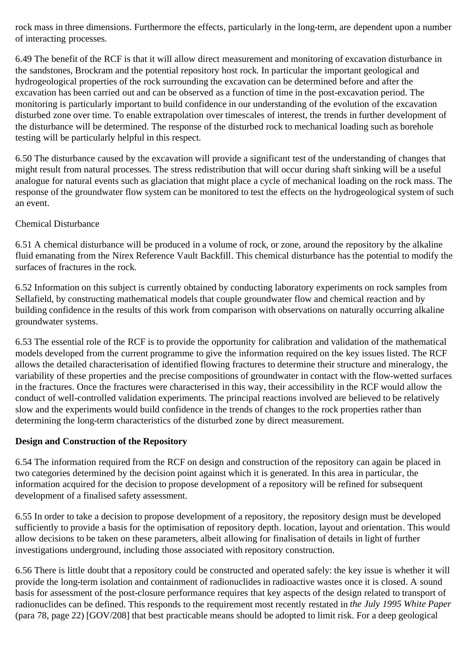rock mass in three dimensions. Furthermore the effects, particularly in the long-term, are dependent upon a number of interacting processes.

6.49 The benefit of the RCF is that it will allow direct measurement and monitoring of excavation disturbance in the sandstones, Brockram and the potential repository host rock. In particular the important geological and hydrogeological properties of the rock surrounding the excavation can be determined before and after the excavation has been carried out and can be observed as a function of time in the post-excavation period. The monitoring is particularly important to build confidence in our understanding of the evolution of the excavation disturbed zone over time. To enable extrapolation over timescales of interest, the trends in further development of the disturbance will be determined. The response of the disturbed rock to mechanical loading such as borehole testing will be particularly helpful in this respect.

6.50 The disturbance caused by the excavation will provide a significant test of the understanding of changes that might result from natural processes. The stress redistribution that will occur during shaft sinking will be a useful analogue for natural events such as glaciation that might place a cycle of mechanical loading on the rock mass. The response of the groundwater flow system can be monitored to test the effects on the hydrogeological system of such an event.

#### Chemical Disturbance

6.51 A chemical disturbance will be produced in a volume of rock, or zone, around the repository by the alkaline fluid emanating from the Nirex Reference Vault Backfill. This chemical disturbance has the potential to modify the surfaces of fractures in the rock.

6.52 Information on this subject is currently obtained by conducting laboratory experiments on rock samples from Sellafield, by constructing mathematical models that couple groundwater flow and chemical reaction and by building confidence in the results of this work from comparison with observations on naturally occurring alkaline groundwater systems.

6.53 The essential role of the RCF is to provide the opportunity for calibration and validation of the mathematical models developed from the current programme to give the information required on the key issues listed. The RCF allows the detailed characterisation of identified flowing fractures to determine their structure and mineralogy, the variability of these properties and the precise compositions of groundwater in contact with the flow-wetted surfaces in the fractures. Once the fractures were characterised in this way, their accessibility in the RCF would allow the conduct of well-controlled validation experiments. The principal reactions involved are believed to be relatively slow and the experiments would build confidence in the trends of changes to the rock properties rather than determining the long-term characteristics of the disturbed zone by direct measurement.

## **Design and Construction of the Repository**

6.54 The information required from the RCF on design and construction of the repository can again be placed in two categories determined by the decision point against which it is generated. In this area in particular, the information acquired for the decision to propose development of a repository will be refined for subsequent development of a finalised safety assessment.

6.55 In order to take a decision to propose development of a repository, the repository design must be developed sufficiently to provide a basis for the optimisation of repository depth. location, layout and orientation. This would allow decisions to be taken on these parameters, albeit allowing for finalisation of details in light of further investigations underground, including those associated with repository construction.

6.56 There is little doubt that a repository could be constructed and operated safely: the key issue is whether it will provide the long-term isolation and containment of radionuclides in radioactive wastes once it is closed. A sound basis for assessment of the post-closure performance requires that key aspects of the design related to transport of radionuclides can be defined. This responds to the requirement most recently restated in *the July 1995 White Paper* (para 78, page 22) [GOV/208] that best practicable means should be adopted to limit risk. For a deep geological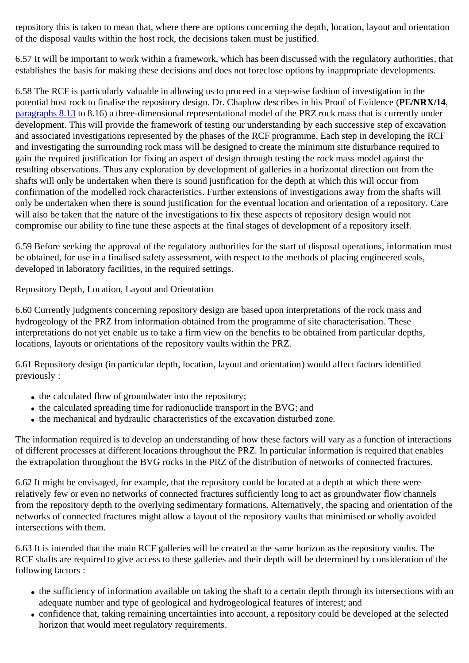repository this is taken to mean that, where there are options concerning the depth, location, layout and orientation of the disposal vaults within the host rock, the decisions taken must be justified.

6.57 It will be important to work within a framework, which has been discussed with the regulatory authorities, that establishes the basis for making these decisions and does not foreclose options by inappropriate developments.

6.58 The RCF is particularly valuable in allowing us to proceed in a step-wise fashion of investigation in the potential host rock to finalise the repository design. Dr. Chaplow describes in his Proof of Evidence (**PE/NRX/14**, paragraphs 8.13 to 8.16) a three-dimensional representational model of the PRZ rock mass that is currently under development. This will provide the framework of testing our understanding by each successive step of excavation and associated investigations represented by the phases of the RCF programme. Each step in developing the RCF and investigating the surrounding rock mass will be designed to create the minimum site disturbance required to gain the required justification for fixing an aspect of design through testing the rock mass model against the resulting observations. Thus any exploration by development of galleries in a horizontal direction out from the shafts will only be undertaken when there is sound justification for the depth at which this will occur from confirmation of the modelled rock characteristics. Further extensions of investigations away from the shafts will only be undertaken when there is sound justification for the eventual location and orientation of a repository. Care will also be taken that the nature of the investigations to fix these aspects of repository design would not compromise our ability to fine tune these aspects at the final stages of development of a repository itself.

6.59 Before seeking the approval of the regulatory authorities for the start of disposal operations, information must be obtained, for use in a finalised safety assessment, with respect to the methods of placing engineered seals, developed in laboratory facilities, in the required settings.

Repository Depth, Location, Layout and Orientation

6.60 Currently judgments concerning repository design are based upon interpretations of the rock mass and hydrogeology of the PRZ from information obtained from the programme of site characterisation. These interpretations do not yet enable us to take a firm view on the benefits to be obtained from particular depths, locations, layouts or orientations of the repository vaults within the PRZ.

6.61 Repository design (in particular depth, location, layout and orientation) would affect factors identified previously :

- the calculated flow of groundwater into the repository;
- the calculated spreading time for radionuclide transport in the BVG; and
- the mechanical and hydraulic characteristics of the excavation disturbed zone.

The information required is to develop an understanding of how these factors will vary as a function of interactions of different processes at different locations throughout the PRZ. In particular information is required that enables the extrapolation throughout the BVG rocks in the PRZ of the distribution of networks of connected fractures.

6.62 It might be envisaged, for example, that the repository could be located at a depth at which there were relatively few or even no networks of connected fractures sufficiently long to act as groundwater flow channels from the repository depth to the overlying sedimentary formations. Alternatively, the spacing and orientation of the networks of connected fractures might allow a layout of the repository vaults that minimised or wholly avoided intersections with them.

6.63 It is intended that the main RCF galleries will be created at the same horizon as the repository vaults. The RCF shafts are required to give access to these galleries and their depth will be determined by consideration of the following factors :

- the sufficiency of information available on taking the shaft to a certain depth through its intersections with an adequate number and type of geological and hydrogeological features of interest; and
- confidence that, taking remaining uncertainties into account, a repository could be developed at the selected horizon that would meet regulatory requirements.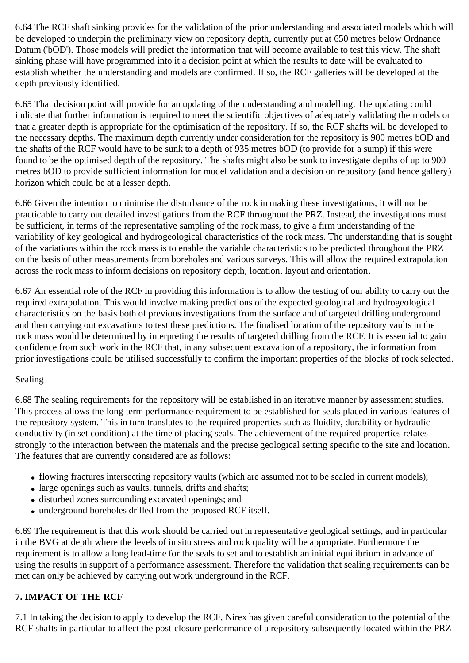6.64 The RCF shaft sinking provides for the validation of the prior understanding and associated models which will be developed to underpin the preliminary view on repository depth, currently put at 650 metres below Ordnance Datum ('bOD'). Those models will predict the information that will become available to test this view. The shaft sinking phase will have programmed into it a decision point at which the results to date will be evaluated to establish whether the understanding and models are confirmed. If so, the RCF galleries will be developed at the depth previously identified.

6.65 That decision point will provide for an updating of the understanding and modelling. The updating could indicate that further information is required to meet the scientific objectives of adequately validating the models or that a greater depth is appropriate for the optimisation of the repository. If so, the RCF shafts will be developed to the necessary depths. The maximum depth currently under consideration for the repository is 900 metres bOD and the shafts of the RCF would have to be sunk to a depth of 935 metres bOD (to provide for a sump) if this were found to be the optimised depth of the repository. The shafts might also be sunk to investigate depths of up to 900 metres bOD to provide sufficient information for model validation and a decision on repository (and hence gallery) horizon which could be at a lesser depth.

6.66 Given the intention to minimise the disturbance of the rock in making these investigations, it will not be practicable to carry out detailed investigations from the RCF throughout the PRZ. Instead, the investigations must be sufficient, in terms of the representative sampling of the rock mass, to give a firm understanding of the variability of key geological and hydrogeological characteristics of the rock mass. The understanding that is sought of the variations within the rock mass is to enable the variable characteristics to be predicted throughout the PRZ on the basis of other measurements from boreholes and various surveys. This will allow the required extrapolation across the rock mass to inform decisions on repository depth, location, layout and orientation.

6.67 An essential role of the RCF in providing this information is to allow the testing of our ability to carry out the required extrapolation. This would involve making predictions of the expected geological and hydrogeological characteristics on the basis both of previous investigations from the surface and of targeted drilling underground and then carrying out excavations to test these predictions. The finalised location of the repository vaults in the rock mass would be determined by interpreting the results of targeted drilling from the RCF. It is essential to gain confidence from such work in the RCF that, in any subsequent excavation of a repository, the information from prior investigations could be utilised successfully to confirm the important properties of the blocks of rock selected.

#### Sealing

6.68 The sealing requirements for the repository will be established in an iterative manner by assessment studies. This process allows the long-term performance requirement to be established for seals placed in various features of the repository system. This in turn translates to the required properties such as fluidity, durability or hydraulic conductivity (in set condition) at the time of placing seals. The achievement of the required properties relates strongly to the interaction between the materials and the precise geological setting specific to the site and location. The features that are currently considered are as follows:

- flowing fractures intersecting repository vaults (which are assumed not to be sealed in current models);
- large openings such as vaults, tunnels, drifts and shafts;
- disturbed zones surrounding excavated openings; and
- underground boreholes drilled from the proposed RCF itself.

6.69 The requirement is that this work should be carried out in representative geological settings, and in particular in the BVG at depth where the levels of in situ stress and rock quality will be appropriate. Furthermore the requirement is to allow a long lead-time for the seals to set and to establish an initial equilibrium in advance of using the results in support of a performance assessment. Therefore the validation that sealing requirements can be met can only be achieved by carrying out work underground in the RCF.

## **7. IMPACT OF THE RCF**

7.1 In taking the decision to apply to develop the RCF, Nirex has given careful consideration to the potential of the RCF shafts in particular to affect the post-closure performance of a repository subsequently located within the PRZ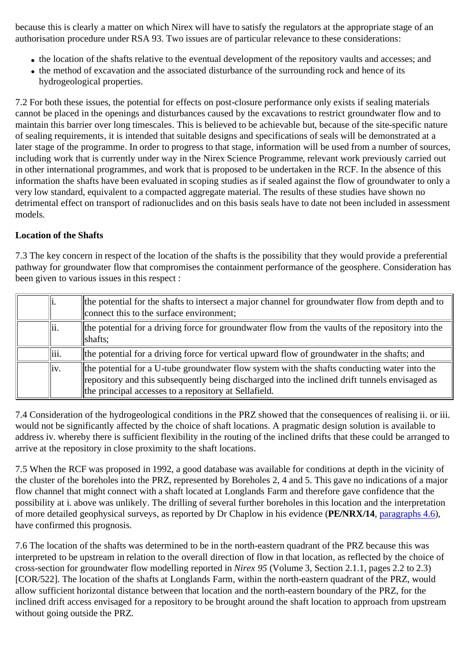because this is clearly a matter on which Nirex will have to satisfy the regulators at the appropriate stage of an authorisation procedure under RSA 93. Two issues are of particular relevance to these considerations:

- the location of the shafts relative to the eventual development of the repository vaults and accesses; and
- the method of excavation and the associated disturbance of the surrounding rock and hence of its hydrogeological properties.

7.2 For both these issues, the potential for effects on post-closure performance only exists if sealing materials cannot be placed in the openings and disturbances caused by the excavations to restrict groundwater flow and to maintain this barrier over long timescales. This is believed to be achievable but, because of the site-specific nature of sealing requirements, it is intended that suitable designs and specifications of seals will be demonstrated at a later stage of the programme. In order to progress to that stage, information will be used from a number of sources, including work that is currently under way in the Nirex Science Programme, relevant work previously carried out in other international programmes, and work that is proposed to be undertaken in the RCF. In the absence of this information the shafts have been evaluated in scoping studies as if sealed against the flow of groundwater to only a very low standard, equivalent to a compacted aggregate material. The results of these studies have shown no detrimental effect on transport of radionuclides and on this basis seals have to date not been included in assessment models.

#### **Location of the Shafts**

7.3 The key concern in respect of the location of the shafts is the possibility that they would provide a preferential pathway for groundwater flow that compromises the containment performance of the geosphere. Consideration has been given to various issues in this respect :

| ш.    | the potential for the shafts to intersect a major channel for groundwater flow from depth and to<br>connect this to the surface environment:                                                                                                            |
|-------|---------------------------------------------------------------------------------------------------------------------------------------------------------------------------------------------------------------------------------------------------------|
| lii.  | the potential for a driving force for groundwater flow from the vaults of the repository into the<br>shafts;                                                                                                                                            |
| liii. | the potential for a driving force for vertical upward flow of groundwater in the shafts; and                                                                                                                                                            |
| liv.  | the potential for a U-tube groundwater flow system with the shafts conducting water into the<br>repository and this subsequently being discharged into the inclined drift tunnels envisaged as<br>the principal accesses to a repository at Sellafield. |

7.4 Consideration of the hydrogeological conditions in the PRZ showed that the consequences of realising ii. or iii. would not be significantly affected by the choice of shaft locations. A pragmatic design solution is available to address iv. whereby there is sufficient flexibility in the routing of the inclined drifts that these could be arranged to arrive at the repository in close proximity to the shaft locations.

7.5 When the RCF was proposed in 1992, a good database was available for conditions at depth in the vicinity of the cluster of the boreholes into the PRZ, represented by Boreholes 2, 4 and 5. This gave no indications of a major flow channel that might connect with a shaft located at Longlands Farm and therefore gave confidence that the possibility at i. above was unlikely. The drilling of several further boreholes in this location and the interpretation of more detailed geophysical surveys, as reported by Dr Chaplow in his evidence (**PE/NRX/14**, paragraphs 4.6), have confirmed this prognosis.

7.6 The location of the shafts was determined to be in the north-eastern quadrant of the PRZ because this was interpreted to be upstream in relation to the overall direction of flow in that location, as reflected by the choice of cross-section for groundwater flow modelling reported in *Nirex 95* (Volume 3, Section 2.1.1, pages 2.2 to 2.3) [COR/522]. The location of the shafts at Longlands Farm, within the north-eastern quadrant of the PRZ, would allow sufficient horizontal distance between that location and the north-eastern boundary of the PRZ, for the inclined drift access envisaged for a repository to be brought around the shaft location to approach from upstream without going outside the PRZ.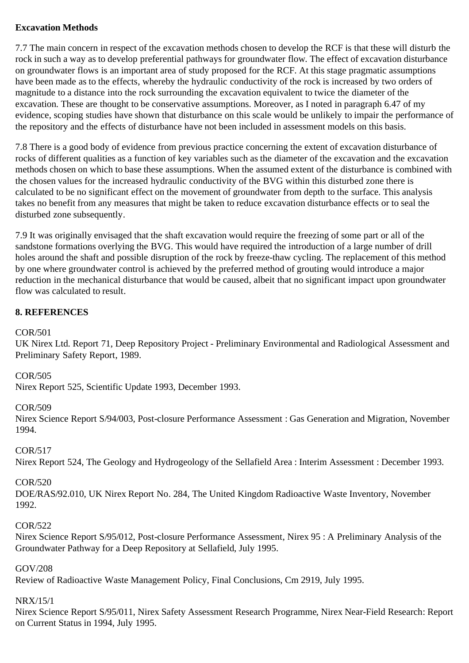#### **Excavation Methods**

7.7 The main concern in respect of the excavation methods chosen to develop the RCF is that these will disturb the rock in such a way as to develop preferential pathways for groundwater flow. The effect of excavation disturbance on groundwater flows is an important area of study proposed for the RCF. At this stage pragmatic assumptions have been made as to the effects, whereby the hydraulic conductivity of the rock is increased by two orders of magnitude to a distance into the rock surrounding the excavation equivalent to twice the diameter of the excavation. These are thought to be conservative assumptions. Moreover, as I noted in paragraph 6.47 of my evidence, scoping studies have shown that disturbance on this scale would be unlikely to impair the performance of the repository and the effects of disturbance have not been included in assessment models on this basis.

7.8 There is a good body of evidence from previous practice concerning the extent of excavation disturbance of rocks of different qualities as a function of key variables such as the diameter of the excavation and the excavation methods chosen on which to base these assumptions. When the assumed extent of the disturbance is combined with the chosen values for the increased hydraulic conductivity of the BVG within this disturbed zone there is calculated to be no significant effect on the movement of groundwater from depth to the surface. This analysis takes no benefit from any measures that might be taken to reduce excavation disturbance effects or to seal the disturbed zone subsequently.

7.9 It was originally envisaged that the shaft excavation would require the freezing of some part or all of the sandstone formations overlying the BVG. This would have required the introduction of a large number of drill holes around the shaft and possible disruption of the rock by freeze-thaw cycling. The replacement of this method by one where groundwater control is achieved by the preferred method of grouting would introduce a major reduction in the mechanical disturbance that would be caused, albeit that no significant impact upon groundwater flow was calculated to result.

## **8. REFERENCES**

#### COR/501

UK Nirex Ltd. Report 71, Deep Repository Project - Preliminary Environmental and Radiological Assessment and Preliminary Safety Report, 1989.

#### COR/505

Nirex Report 525, Scientific Update 1993, December 1993.

#### COR/509

Nirex Science Report S/94/003, Post-closure Performance Assessment : Gas Generation and Migration, November 1994.

#### COR/517

Nirex Report 524, The Geology and Hydrogeology of the Sellafield Area : Interim Assessment : December 1993.

#### COR/520

DOE/RAS/92.010, UK Nirex Report No. 284, The United Kingdom Radioactive Waste Inventory, November 1992.

#### COR/522

Nirex Science Report S/95/012, Post-closure Performance Assessment, Nirex 95 : A Preliminary Analysis of the Groundwater Pathway for a Deep Repository at Sellafield, July 1995.

#### GOV/208

Review of Radioactive Waste Management Policy, Final Conclusions, Cm 2919, July 1995.

#### NRX/15/1

Nirex Science Report S/95/011, Nirex Safety Assessment Research Programme, Nirex Near-Field Research: Report on Current Status in 1994, July 1995.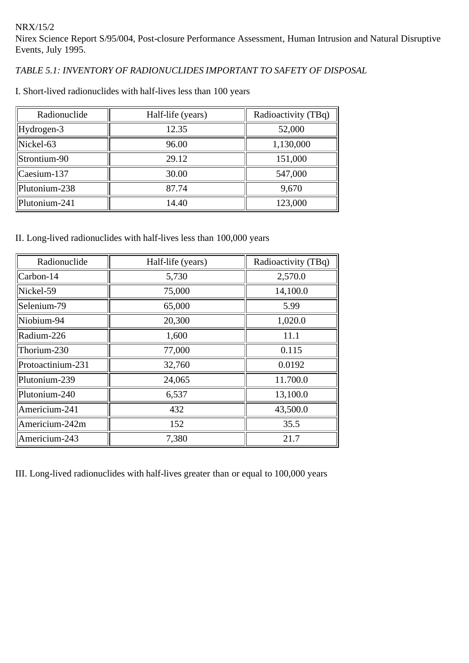## *TABLE 5.1: INVENTORY OF RADIONUCLIDES IMPORTANT TO SAFETY OF DISPOSAL*

| Radionuclide    | Half-life (years) | Radioactivity (TBq) |
|-----------------|-------------------|---------------------|
| $Hydrogen-3$    | 12.35             | 52,000              |
| $Nickel-63$     | 96.00             | 1,130,000           |
| Strontium-90    | 29.12             | 151,000             |
| $ $ Caesium-137 | 30.00             | 547,000             |
| Plutonium-238   | 87.74             | 9,670               |
| Plutonium-241   | 14.40             | 123,000             |

I. Short-lived radionuclides with half-lives less than 100 years

II. Long-lived radionuclides with half-lives less than 100,000 years

| Radionuclide      | Half-life (years) | Radioactivity (TBq) |
|-------------------|-------------------|---------------------|
| Carbon-14         | 5,730             | 2,570.0             |
| Nickel-59         | 75,000            | 14,100.0            |
| Selenium-79       | 65,000            | 5.99                |
| Niobium-94        | 20,300            | 1,020.0             |
| Radium-226        | 1,600             | 11.1                |
| Thorium-230       | 77,000            | 0.115               |
| Protoactinium-231 | 32,760            | 0.0192              |
| Plutonium-239     | 24,065            | 11.700.0            |
| Plutonium-240     | 6,537             | 13,100.0            |
| Americium-241     | 432               | 43,500.0            |
| Americium-242m    | 152               | 35.5                |
| Americium-243     | 7,380             | 21.7                |

III. Long-lived radionuclides with half-lives greater than or equal to 100,000 years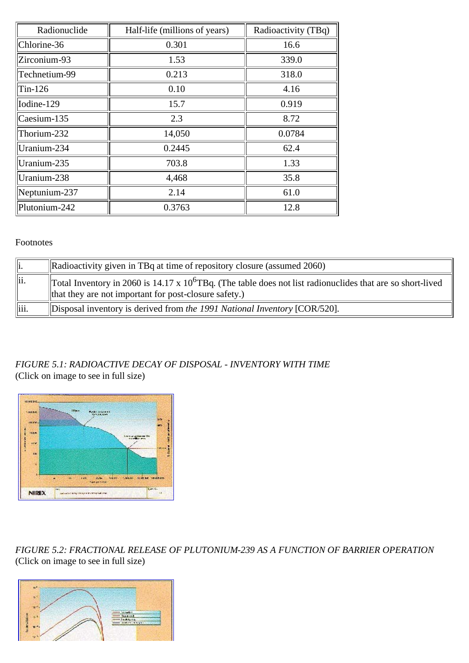| Radionuclide  | Half-life (millions of years) | Radioactivity (TBq) |
|---------------|-------------------------------|---------------------|
| Chlorine-36   | 0.301                         | 16.6                |
| Zirconium-93  | 1.53                          | 339.0               |
| Technetium-99 | 0.213                         | 318.0               |
| $Tin-126$     | 0.10                          | 4.16                |
| Iodine-129    | 15.7                          | 0.919               |
| Caesium-135   | 2.3                           | 8.72                |
| Thorium-232   | 14,050                        | 0.0784              |
| Uranium-234   | 0.2445                        | 62.4                |
| Uranium-235   | 703.8                         | 1.33                |
| Uranium-238   | 4,468                         | 35.8                |
| Neptunium-237 | 2.14                          | 61.0                |
| Plutonium-242 | 0.3763                        | 12.8                |

#### Footnotes

|       | Radioactivity given in TBq at time of repository closure (assumed 2060)                                                                                                |
|-------|------------------------------------------------------------------------------------------------------------------------------------------------------------------------|
| llii. | Total Inventory in 2060 is 14.17 x $10^6$ TBq. (The table does not list radionuclides that are so short-lived<br>that they are not important for post-closure safety.) |
| iii.  | Disposal inventory is derived from the 1991 National Inventory [COR/520].                                                                                              |

## *FIGURE 5.1: RADIOACTIVE DECAY OF DISPOSAL - INVENTORY WITH TIME* (Click on image to see in full size)



*FIGURE 5.2: FRACTIONAL RELEASE OF PLUTONIUM-239 AS A FUNCTION OF BARRIER OPERATION* (Click on image to see in full size)

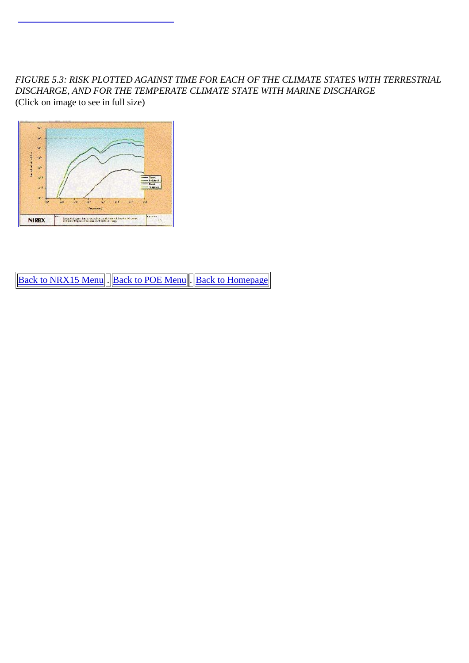*FIGURE 5.3: RISK PLOTTED AGAINST TIME FOR EACH OF THE CLIMATE STATES WITH TERRESTRIAL DISCHARGE, AND FOR THE TEMPERATE CLIMATE STATE WITH MARINE DISCHARGE* (Click on image to see in full size)



Back to NRX15 Menu . Back to POE Menu . Back to Homepage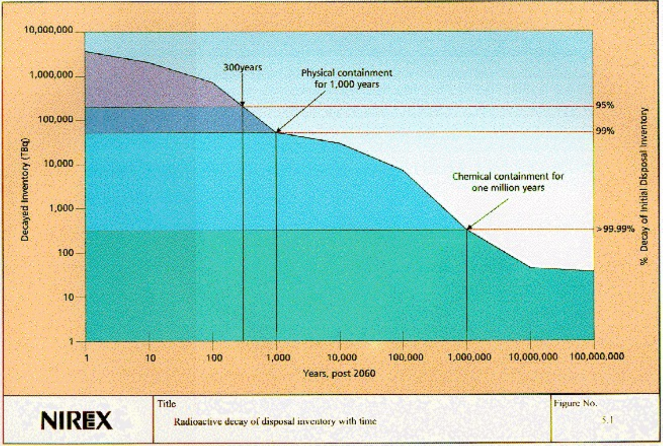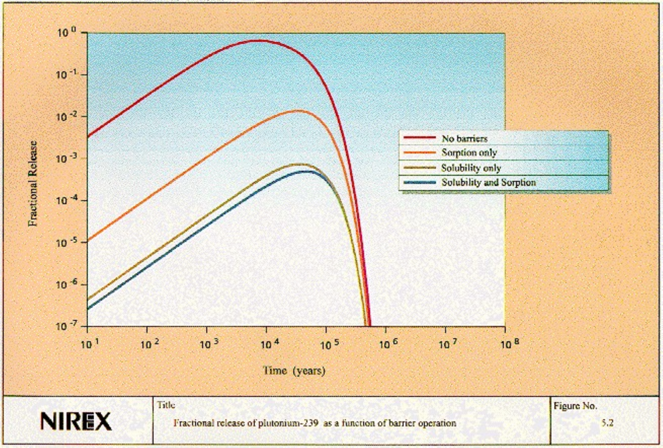